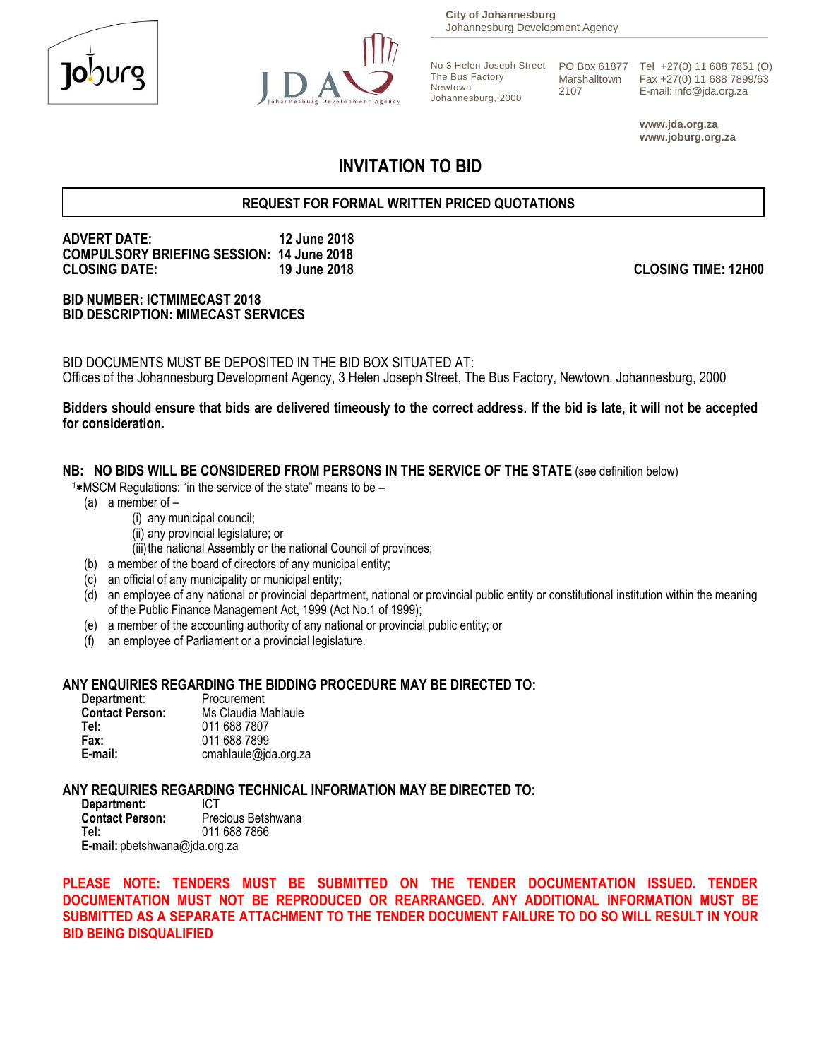



**City of Johannesburg** Johannesburg Development Agency

The Bus Factory Newtown Johannesburg, 2000 Marshalltown 2107

No 3 Helen Joseph Street PO Box 61877 Tel +27(0) 11 688 7851 (O) Fax +27(0) 11 688 7899/63 E-mail: info@jda.org.za

> **www.jda.org.za www.joburg.org.za**

# **INVITATION TO BID**

## **REQUEST FOR FORMAL WRITTEN PRICED QUOTATIONS**

# **ADVERT DATE: 12 June 2018 COMPULSORY BRIEFING SESSION: 14 June 2018**

#### **BID NUMBER: ICTMIMECAST 2018 BID DESCRIPTION: MIMECAST SERVICES**

BID DOCUMENTS MUST BE DEPOSITED IN THE BID BOX SITUATED AT: Offices of the Johannesburg Development Agency, 3 Helen Joseph Street, The Bus Factory, Newtown, Johannesburg, 2000

#### **Bidders should ensure that bids are delivered timeously to the correct address. If the bid is late, it will not be accepted for consideration.**

#### **NB: NO BIDS WILL BE CONSIDERED FROM PERSONS IN THE SERVICE OF THE STATE** (see definition below)

- $1*$ MSCM Regulations: "in the service of the state" means to be  $-$ 
	- (a) a member of
		- (i) any municipal council;
		- (ii) any provincial legislature; or
		- (iii) the national Assembly or the national Council of provinces;
	- (b) a member of the board of directors of any municipal entity;
	- (c) an official of any municipality or municipal entity;
	- (d) an employee of any national or provincial department, national or provincial public entity or constitutional institution within the meaning of the Public Finance Management Act, 1999 (Act No.1 of 1999);
	- (e) a member of the accounting authority of any national or provincial public entity; or
	- (f) an employee of Parliament or a provincial legislature.

#### **ANY ENQUIRIES REGARDING THE BIDDING PROCEDURE MAY BE DIRECTED TO:**

| Department:            | Procurement          |
|------------------------|----------------------|
| <b>Contact Person:</b> | Ms Claudia Mahlaule  |
| Tel:                   | 011 688 7807         |
| Fax:                   | 011 688 7899         |
| E-mail:                | cmahlaule@jda.org.za |

# **ANY REQUIRIES REGARDING TECHNICAL INFORMATION MAY BE DIRECTED TO:**

**Department:**<br>Contact Person: **Contact Person:** Precious Betshwana<br> **Tel:** 011 688 7866 **Tel:** 011 688 7866 **E-mail:** pbetshwana@jda.org.za

**PLEASE NOTE: TENDERS MUST BE SUBMITTED ON THE TENDER DOCUMENTATION ISSUED. TENDER DOCUMENTATION MUST NOT BE REPRODUCED OR REARRANGED. ANY ADDITIONAL INFORMATION MUST BE SUBMITTED AS A SEPARATE ATTACHMENT TO THE TENDER DOCUMENT FAILURE TO DO SO WILL RESULT IN YOUR BID BEING DISQUALIFIED**

**CLOSING DATE: 19 June 2018 CLOSING TIME: 12H00**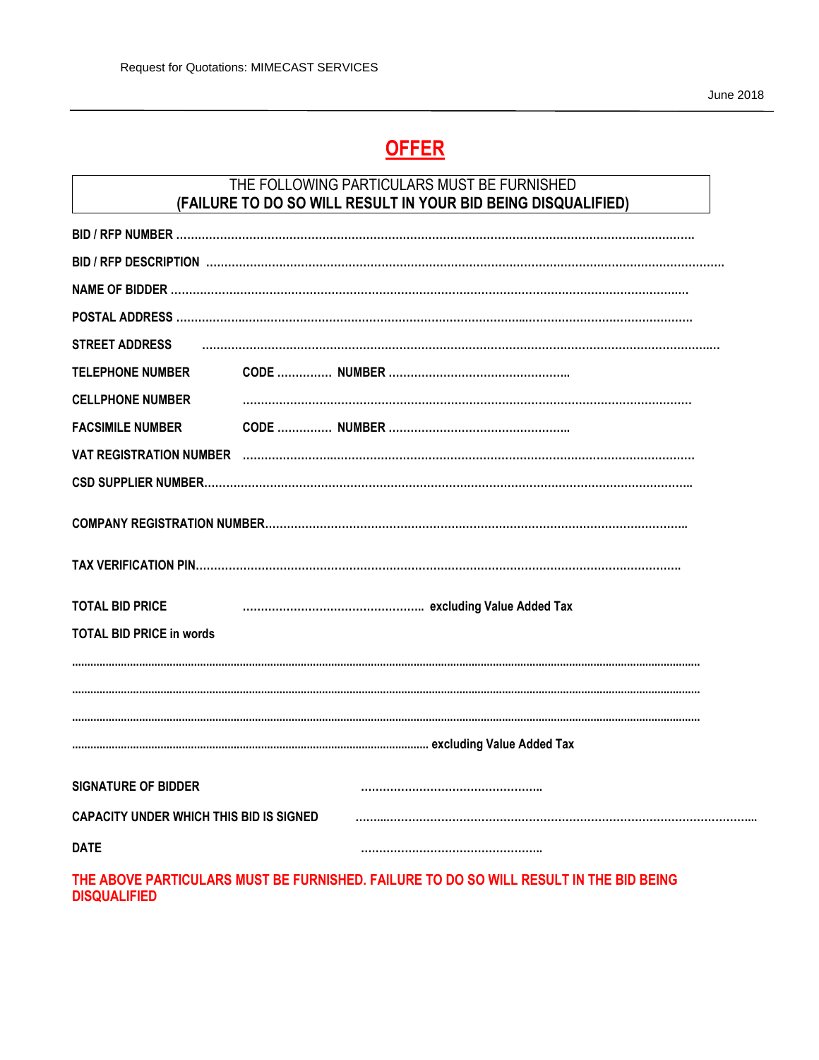# **OFFER**

# THE FOLLOWING PARTICULARS MUST BE FURNISHED (FAILURE TO DO SO WILL RESULT IN YOUR BID BEING DISQUALIFIED)

| <b>STREET ADDRESS</b>                          |  |  |  |
|------------------------------------------------|--|--|--|
| <b>TELEPHONE NUMBER</b>                        |  |  |  |
| <b>CELLPHONE NUMBER</b>                        |  |  |  |
| <b>FACSIMILE NUMBER</b>                        |  |  |  |
|                                                |  |  |  |
|                                                |  |  |  |
|                                                |  |  |  |
|                                                |  |  |  |
|                                                |  |  |  |
|                                                |  |  |  |
| <b>TOTAL BID PRICE</b>                         |  |  |  |
| <b>TOTAL BID PRICE in words</b>                |  |  |  |
|                                                |  |  |  |
|                                                |  |  |  |
|                                                |  |  |  |
|                                                |  |  |  |
| <b>SIGNATURE OF BIDDER</b>                     |  |  |  |
|                                                |  |  |  |
| <b>CAPACITY UNDER WHICH THIS BID IS SIGNED</b> |  |  |  |
| <b>DATE</b>                                    |  |  |  |
|                                                |  |  |  |

THE ABOVE PARTICULARS MUST BE FURNISHED. FAILURE TO DO SO WILL RESULT IN THE BID BEING **DISQUALIFIED**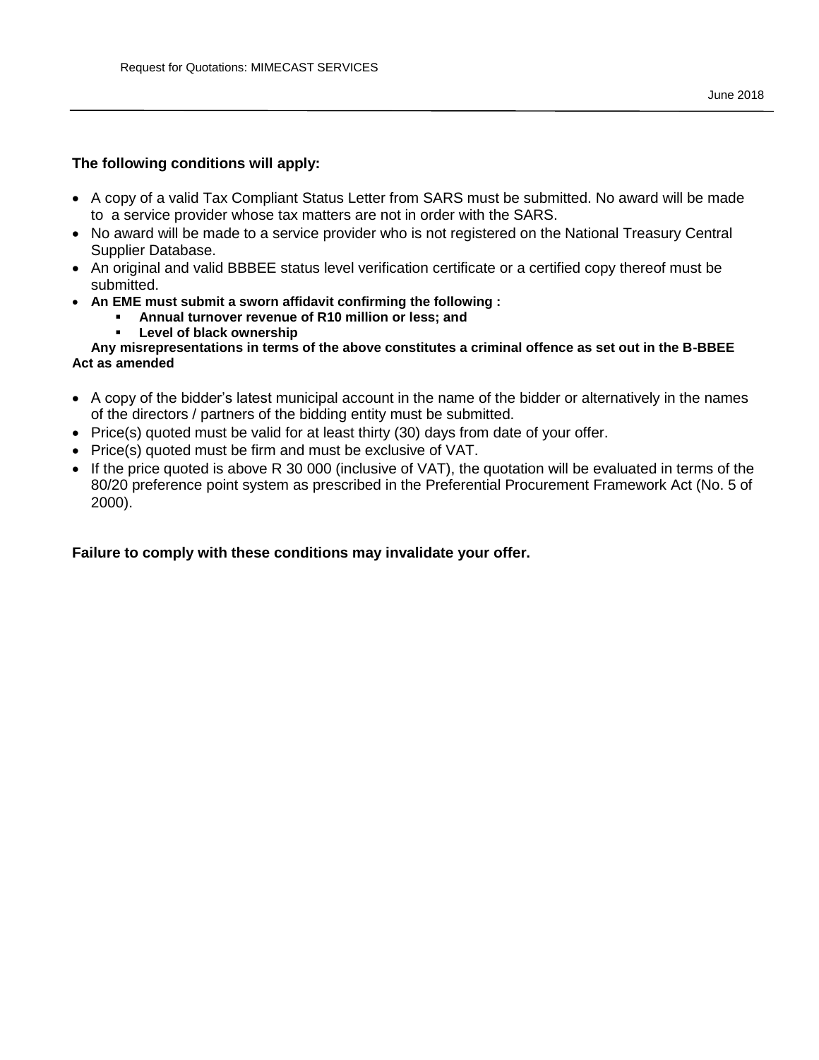#### **The following conditions will apply:**

- A copy of a valid Tax Compliant Status Letter from SARS must be submitted. No award will be made to a service provider whose tax matters are not in order with the SARS.
- No award will be made to a service provider who is not registered on the National Treasury Central Supplier Database.
- An original and valid BBBEE status level verification certificate or a certified copy thereof must be submitted.
- **An EME must submit a sworn affidavit confirming the following :** 
	- **Annual turnover revenue of R10 million or less; and**
	- **Level of black ownership**

#### **Any misrepresentations in terms of the above constitutes a criminal offence as set out in the B-BBEE Act as amended**

- A copy of the bidder's latest municipal account in the name of the bidder or alternatively in the names of the directors / partners of the bidding entity must be submitted.
- Price(s) quoted must be valid for at least thirty (30) days from date of your offer.
- Price(s) quoted must be firm and must be exclusive of VAT.
- If the price quoted is above R 30 000 (inclusive of VAT), the quotation will be evaluated in terms of the 80/20 preference point system as prescribed in the Preferential Procurement Framework Act (No. 5 of 2000).

#### **Failure to comply with these conditions may invalidate your offer.**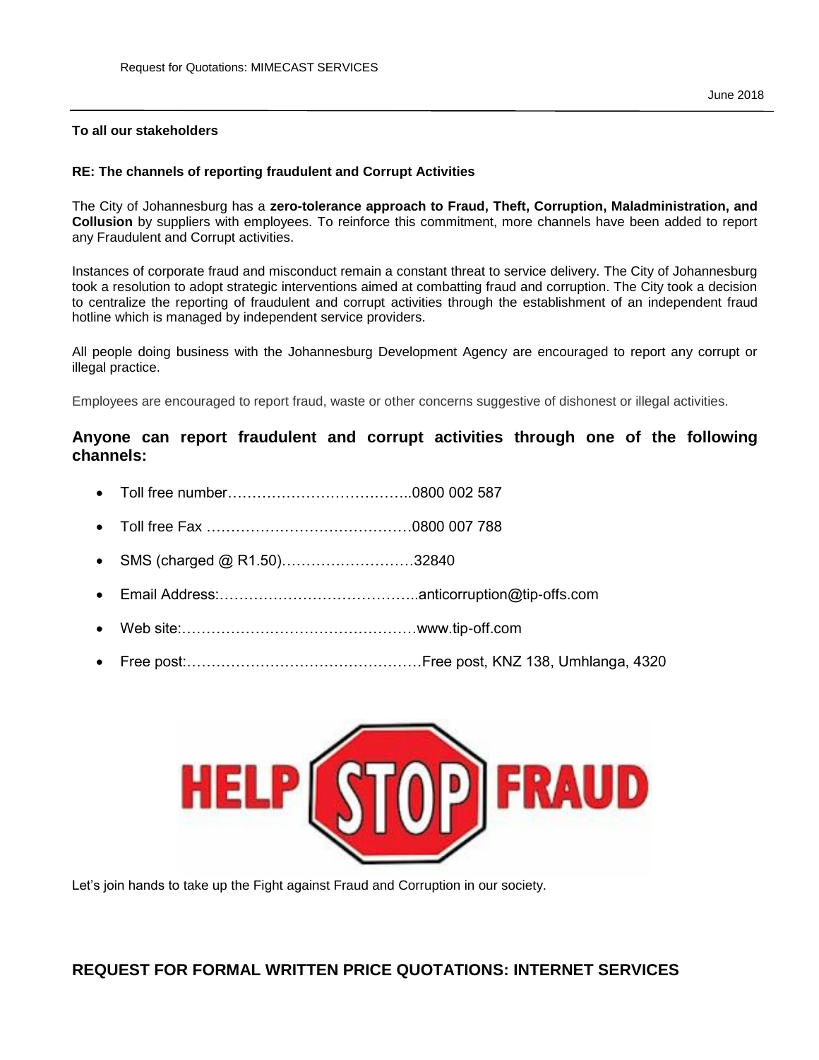#### **To all our stakeholders**

#### **RE: The channels of reporting fraudulent and Corrupt Activities**

The City of Johannesburg has a **zero-tolerance approach to Fraud, Theft, Corruption, Maladministration, and Collusion** by suppliers with employees. To reinforce this commitment, more channels have been added to report any Fraudulent and Corrupt activities.

Instances of corporate fraud and misconduct remain a constant threat to service delivery. The City of Johannesburg took a resolution to adopt strategic interventions aimed at combatting fraud and corruption. The City took a decision to centralize the reporting of fraudulent and corrupt activities through the establishment of an independent fraud hotline which is managed by independent service providers.

All people doing business with the Johannesburg Development Agency are encouraged to report any corrupt or illegal practice.

Employees are encouraged to report fraud, waste or other concerns suggestive of dishonest or illegal activities.

#### **Anyone can report fraudulent and corrupt activities through one of the following channels:**

- Toll free number………………………………..0800 002 587
- Toll free Fax ……………………………………0800 007 788
- SMS (charged @ R1.50)………………………32840
- Email Address:…………………………………..anticorruption@tip-offs.com
- Web site:…………………………………………www.tip-off.com
- Free post:…………………………………………Free post, KNZ 138, Umhlanga, 4320



Let's join hands to take up the Fight against Fraud and Corruption in our society.

# **REQUEST FOR FORMAL WRITTEN PRICE QUOTATIONS: INTERNET SERVICES**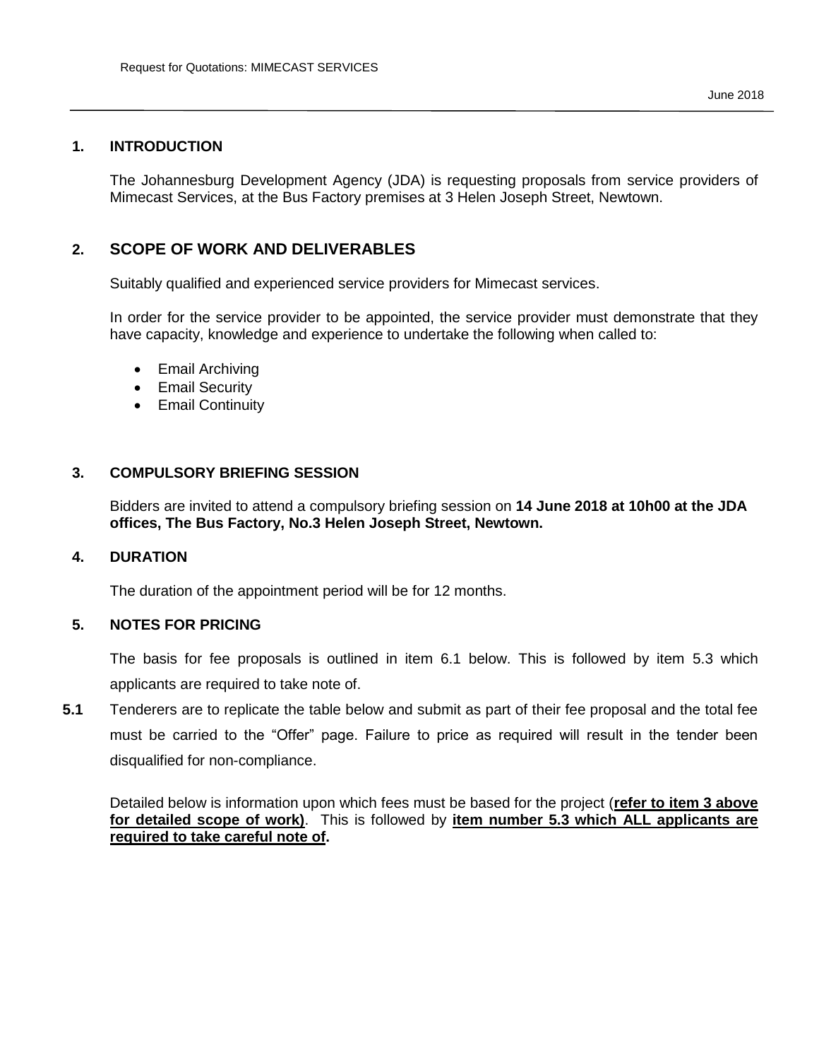#### **1. INTRODUCTION**

The Johannesburg Development Agency (JDA) is requesting proposals from service providers of Mimecast Services, at the Bus Factory premises at 3 Helen Joseph Street, Newtown.

## **2. SCOPE OF WORK AND DELIVERABLES**

Suitably qualified and experienced service providers for Mimecast services.

In order for the service provider to be appointed, the service provider must demonstrate that they have capacity, knowledge and experience to undertake the following when called to:

- Email Archiving
- Email Security
- **•** Email Continuity

#### **3. COMPULSORY BRIEFING SESSION**

Bidders are invited to attend a compulsory briefing session on **14 June 2018 at 10h00 at the JDA offices, The Bus Factory, No.3 Helen Joseph Street, Newtown.**

#### **4. DURATION**

The duration of the appointment period will be for 12 months.

#### **5. NOTES FOR PRICING**

The basis for fee proposals is outlined in item 6.1 below. This is followed by item 5.3 which applicants are required to take note of.

**5.1** Tenderers are to replicate the table below and submit as part of their fee proposal and the total fee must be carried to the "Offer" page. Failure to price as required will result in the tender been disqualified for non-compliance.

Detailed below is information upon which fees must be based for the project (**refer to item 3 above for detailed scope of work)**. This is followed by **item number 5.3 which ALL applicants are required to take careful note of.**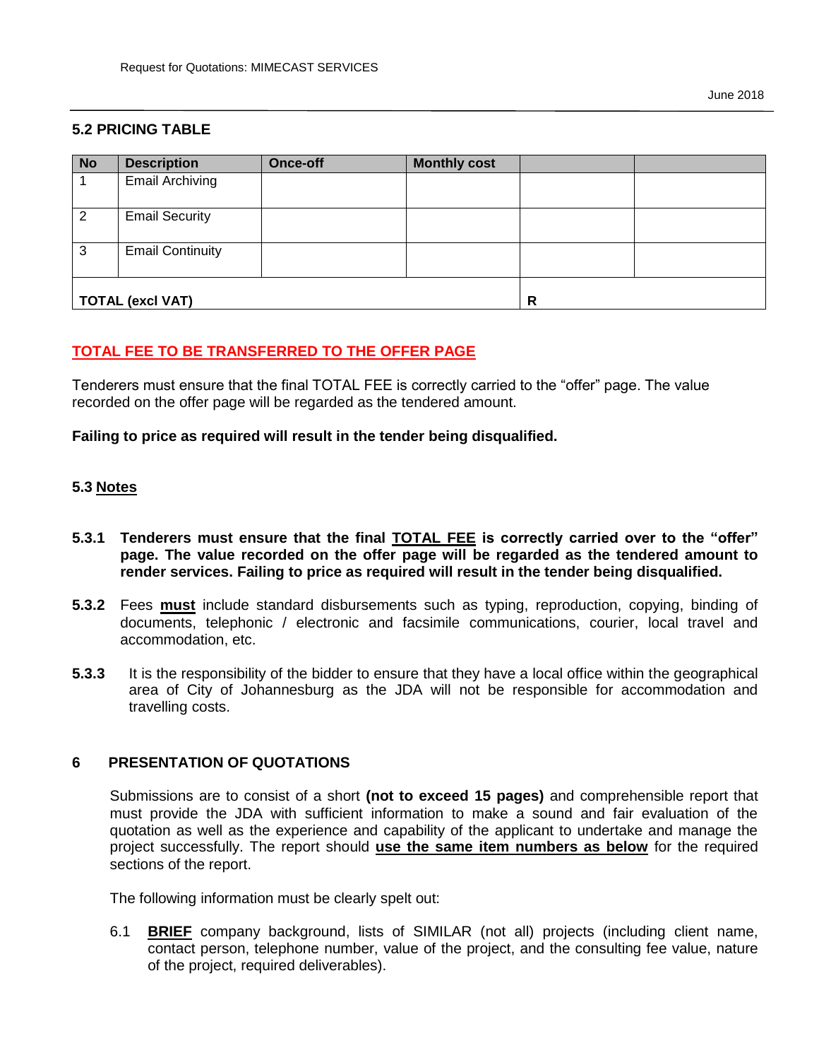## **5.2 PRICING TABLE**

| <b>No</b> | <b>Description</b>      | <b>Once-off</b> | <b>Monthly cost</b> |   |  |
|-----------|-------------------------|-----------------|---------------------|---|--|
|           | <b>Email Archiving</b>  |                 |                     |   |  |
| 2         | <b>Email Security</b>   |                 |                     |   |  |
| 3         | <b>Email Continuity</b> |                 |                     |   |  |
|           | <b>TOTAL (excl VAT)</b> |                 |                     | R |  |

## **TOTAL FEE TO BE TRANSFERRED TO THE OFFER PAGE**

Tenderers must ensure that the final TOTAL FEE is correctly carried to the "offer" page. The value recorded on the offer page will be regarded as the tendered amount.

#### **Failing to price as required will result in the tender being disqualified.**

#### **5.3 Notes**

- **5.3.1 Tenderers must ensure that the final TOTAL FEE is correctly carried over to the "offer" page. The value recorded on the offer page will be regarded as the tendered amount to render services. Failing to price as required will result in the tender being disqualified.**
- **5.3.2** Fees **must** include standard disbursements such as typing, reproduction, copying, binding of documents, telephonic / electronic and facsimile communications, courier, local travel and accommodation, etc.
- **5.3.3** It is the responsibility of the bidder to ensure that they have a local office within the geographical area of City of Johannesburg as the JDA will not be responsible for accommodation and travelling costs.

#### **6 PRESENTATION OF QUOTATIONS**

Submissions are to consist of a short **(not to exceed 15 pages)** and comprehensible report that must provide the JDA with sufficient information to make a sound and fair evaluation of the quotation as well as the experience and capability of the applicant to undertake and manage the project successfully. The report should **use the same item numbers as below** for the required sections of the report.

The following information must be clearly spelt out:

6.1 **BRIEF** company background, lists of SIMILAR (not all) projects (including client name, contact person, telephone number, value of the project, and the consulting fee value, nature of the project, required deliverables).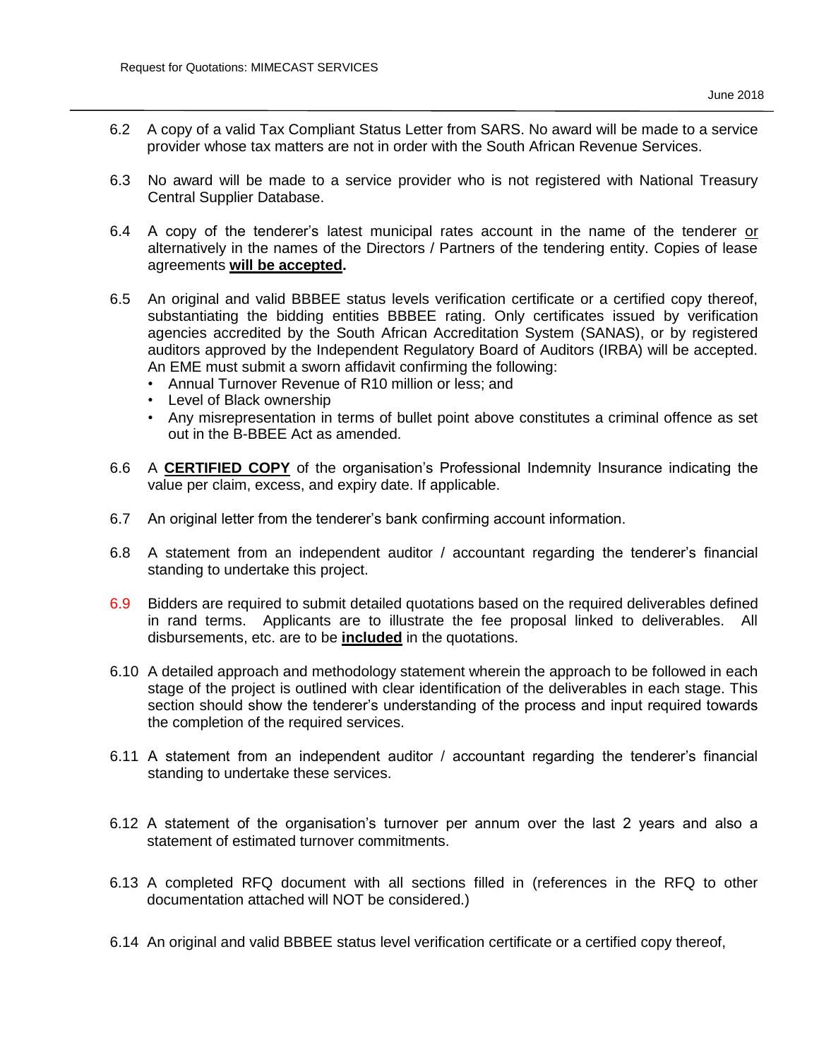- 6.2 A copy of a valid Tax Compliant Status Letter from SARS. No award will be made to a service provider whose tax matters are not in order with the South African Revenue Services.
- 6.3 No award will be made to a service provider who is not registered with National Treasury Central Supplier Database.
- 6.4 A copy of the tenderer's latest municipal rates account in the name of the tenderer or alternatively in the names of the Directors / Partners of the tendering entity. Copies of lease agreements **will be accepted.**
- 6.5 An original and valid BBBEE status levels verification certificate or a certified copy thereof, substantiating the bidding entities BBBEE rating. Only certificates issued by verification agencies accredited by the South African Accreditation System (SANAS), or by registered auditors approved by the Independent Regulatory Board of Auditors (IRBA) will be accepted. An EME must submit a sworn affidavit confirming the following:
	- Annual Turnover Revenue of R10 million or less; and
	- Level of Black ownership
	- Any misrepresentation in terms of bullet point above constitutes a criminal offence as set out in the B-BBEE Act as amended.
- 6.6 A **CERTIFIED COPY** of the organisation's Professional Indemnity Insurance indicating the value per claim, excess, and expiry date. If applicable.
- 6.7 An original letter from the tenderer's bank confirming account information.
- 6.8 A statement from an independent auditor / accountant regarding the tenderer's financial standing to undertake this project.
- 6.9 Bidders are required to submit detailed quotations based on the required deliverables defined in rand terms. Applicants are to illustrate the fee proposal linked to deliverables. All disbursements, etc. are to be **included** in the quotations.
- 6.10 A detailed approach and methodology statement wherein the approach to be followed in each stage of the project is outlined with clear identification of the deliverables in each stage. This section should show the tenderer's understanding of the process and input required towards the completion of the required services.
- 6.11 A statement from an independent auditor / accountant regarding the tenderer's financial standing to undertake these services.
- 6.12 A statement of the organisation's turnover per annum over the last 2 years and also a statement of estimated turnover commitments.
- 6.13 A completed RFQ document with all sections filled in (references in the RFQ to other documentation attached will NOT be considered.)
- 6.14 An original and valid BBBEE status level verification certificate or a certified copy thereof,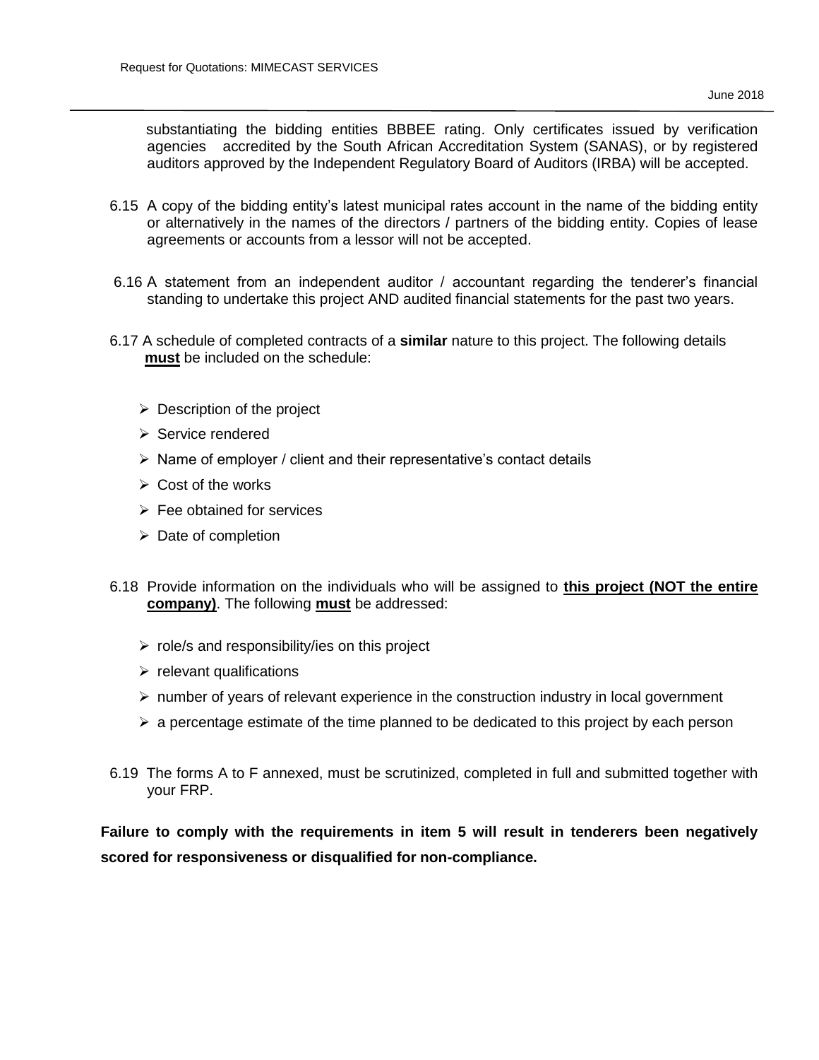substantiating the bidding entities BBBEE rating. Only certificates issued by verification agencies accredited by the South African Accreditation System (SANAS), or by registered auditors approved by the Independent Regulatory Board of Auditors (IRBA) will be accepted.

- 6.15 A copy of the bidding entity's latest municipal rates account in the name of the bidding entity or alternatively in the names of the directors / partners of the bidding entity. Copies of lease agreements or accounts from a lessor will not be accepted.
- 6.16 A statement from an independent auditor / accountant regarding the tenderer's financial standing to undertake this project AND audited financial statements for the past two years.
- 6.17 A schedule of completed contracts of a **similar** nature to this project. The following details  **must** be included on the schedule:
	- $\triangleright$  Description of the project
	- $\triangleright$  Service rendered
	- $\triangleright$  Name of employer / client and their representative's contact details
	- $\triangleright$  Cost of the works
	- $\triangleright$  Fee obtained for services
	- $\triangleright$  Date of completion
- 6.18 Provide information on the individuals who will be assigned to **this project (NOT the entire company)**. The following **must** be addressed:
	- $\triangleright$  role/s and responsibility/ies on this project
	- $\triangleright$  relevant qualifications
	- $\triangleright$  number of years of relevant experience in the construction industry in local government
	- $\triangleright$  a percentage estimate of the time planned to be dedicated to this project by each person
- 6.19 The forms A to F annexed, must be scrutinized, completed in full and submitted together with your FRP.

**Failure to comply with the requirements in item 5 will result in tenderers been negatively scored for responsiveness or disqualified for non-compliance.**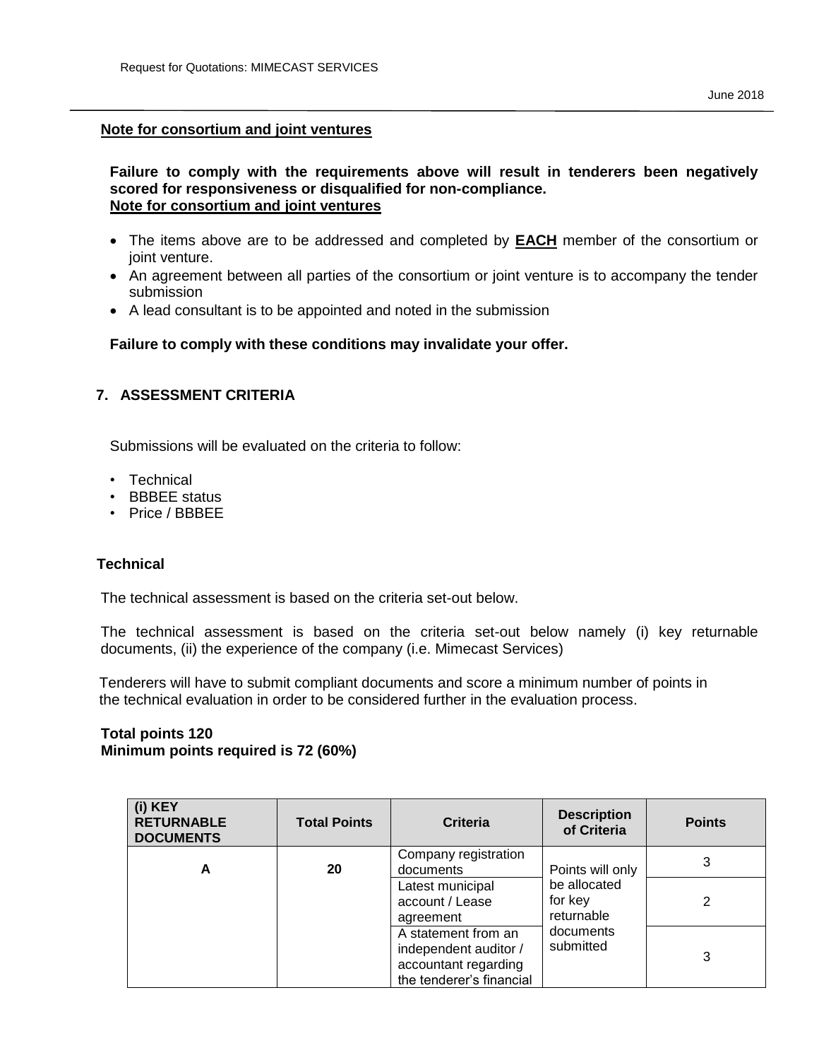#### **Note for consortium and joint ventures**

#### **Failure to comply with the requirements above will result in tenderers been negatively scored for responsiveness or disqualified for non-compliance. Note for consortium and joint ventures**

- The items above are to be addressed and completed by **EACH** member of the consortium or joint venture.
- An agreement between all parties of the consortium or joint venture is to accompany the tender submission
- A lead consultant is to be appointed and noted in the submission

## **Failure to comply with these conditions may invalidate your offer.**

## **7. ASSESSMENT CRITERIA**

Submissions will be evaluated on the criteria to follow:

- Technical
- BBBEE status
- Price / BBBEE

#### **Technical**

The technical assessment is based on the criteria set-out below.

The technical assessment is based on the criteria set-out below namely (i) key returnable documents, (ii) the experience of the company (i.e. Mimecast Services)

 Tenderers will have to submit compliant documents and score a minimum number of points in the technical evaluation in order to be considered further in the evaluation process.

#### **Total points 120 Minimum points required is 72 (60%)**

| (i) KEY<br><b>RETURNABLE</b><br><b>DOCUMENTS</b> | <b>Total Points</b> | <b>Criteria</b>                                                                                  | <b>Description</b><br>of Criteria     | <b>Points</b> |
|--------------------------------------------------|---------------------|--------------------------------------------------------------------------------------------------|---------------------------------------|---------------|
| A                                                | 20                  | Company registration<br>documents                                                                | Points will only                      | 3             |
|                                                  |                     | Latest municipal<br>account / Lease<br>agreement                                                 | be allocated<br>for key<br>returnable | 2             |
|                                                  |                     | A statement from an<br>independent auditor /<br>accountant regarding<br>the tenderer's financial | documents<br>submitted                | 3             |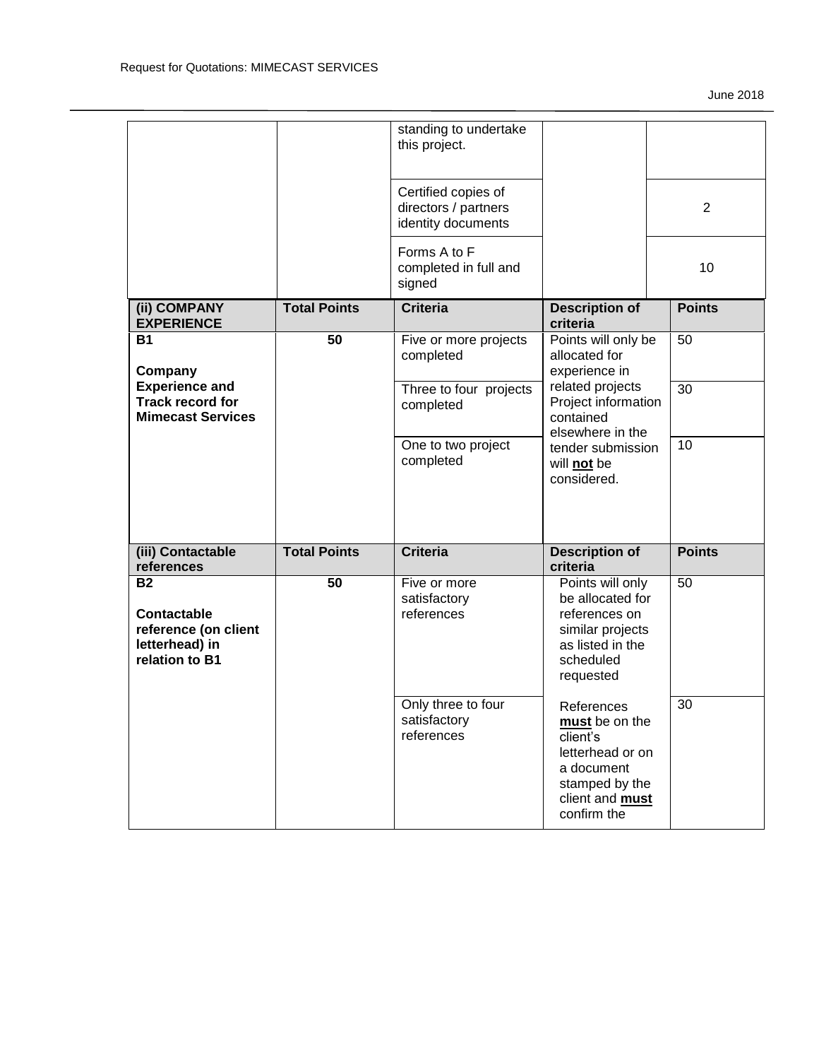|                                                                                             |                     | standing to undertake<br>this project.                            |                                                                                                                                       |                |
|---------------------------------------------------------------------------------------------|---------------------|-------------------------------------------------------------------|---------------------------------------------------------------------------------------------------------------------------------------|----------------|
|                                                                                             |                     | Certified copies of<br>directors / partners<br>identity documents |                                                                                                                                       | $\overline{2}$ |
|                                                                                             |                     | Forms A to F<br>completed in full and<br>signed                   |                                                                                                                                       | 10             |
| (ii) COMPANY<br><b>EXPERIENCE</b>                                                           | <b>Total Points</b> | <b>Criteria</b>                                                   | <b>Description of</b><br>criteria                                                                                                     | <b>Points</b>  |
| <b>B1</b><br>Company                                                                        | 50                  | Five or more projects<br>completed                                | Points will only be<br>allocated for<br>experience in                                                                                 | 50             |
| <b>Experience and</b><br><b>Track record for</b><br><b>Mimecast Services</b>                |                     | Three to four projects<br>completed                               | related projects<br>Project information<br>contained<br>elsewhere in the                                                              | 30             |
|                                                                                             |                     | One to two project<br>completed                                   | tender submission<br>will not be<br>considered.                                                                                       | 10             |
| (iii) Contactable<br>references                                                             | <b>Total Points</b> | <b>Criteria</b>                                                   | <b>Description of</b><br>criteria                                                                                                     | <b>Points</b>  |
| <b>B2</b><br><b>Contactable</b><br>reference (on client<br>letterhead) in<br>relation to B1 | 50                  | Five or more<br>satisfactory<br>references                        | Points will only<br>be allocated for<br>references on<br>similar projects<br>as listed in the<br>scheduled<br>requested               | 50             |
|                                                                                             |                     | Only three to four<br>satisfactory<br>references                  | References<br>must be on the<br>client's<br>letterhead or on<br>a document<br>stamped by the<br>client and <b>must</b><br>confirm the | 30             |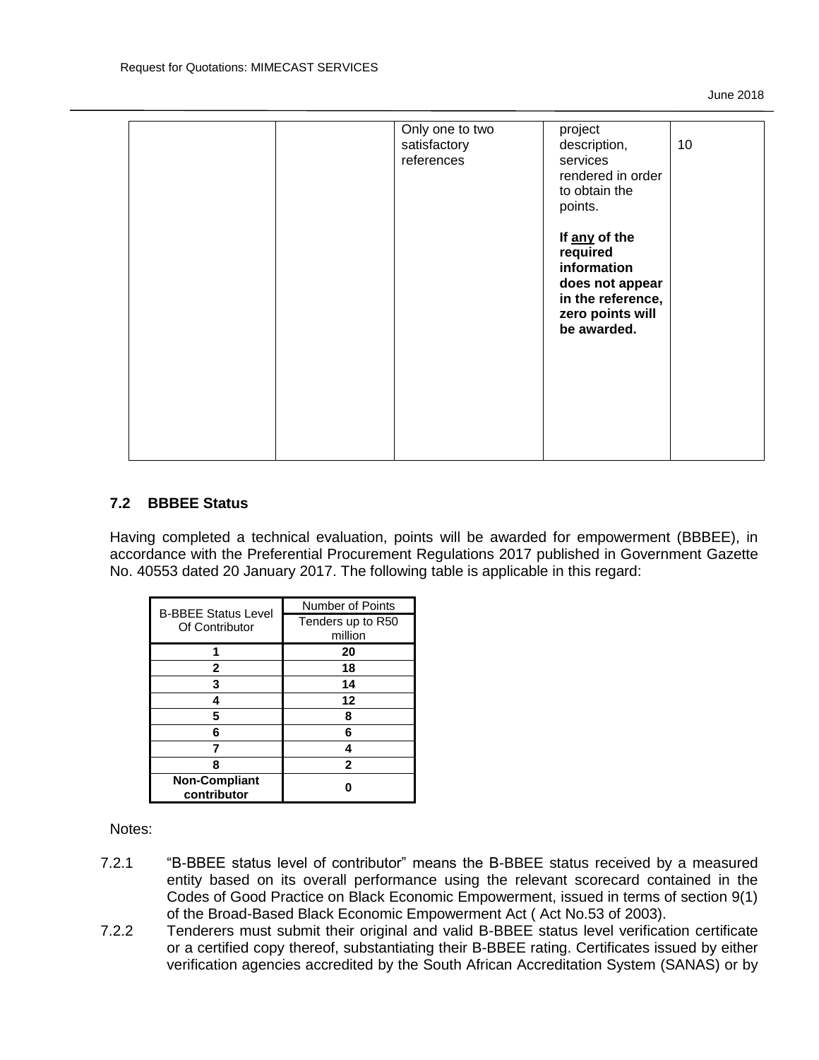|  | Only one to two<br>satisfactory<br>references | project<br>description,<br>services<br>rendered in order<br>to obtain the<br>points.                                | 10 |
|--|-----------------------------------------------|---------------------------------------------------------------------------------------------------------------------|----|
|  |                                               | If any of the<br>required<br>information<br>does not appear<br>in the reference,<br>zero points will<br>be awarded. |    |
|  |                                               |                                                                                                                     |    |

#### **7.2 BBBEE Status**

Having completed a technical evaluation, points will be awarded for empowerment (BBBEE), in accordance with the Preferential Procurement Regulations 2017 published in Government Gazette No. 40553 dated 20 January 2017. The following table is applicable in this regard:

| <b>B-BBEE Status Level</b><br>Of Contributor | Number of Points             |
|----------------------------------------------|------------------------------|
|                                              | Tenders up to R50<br>million |
|                                              |                              |
|                                              | 20                           |
| 2                                            | 18                           |
| 3                                            | 14                           |
|                                              | 12                           |
| 5                                            | ឧ                            |
| 6                                            | 6                            |
| 7                                            |                              |
| я                                            | $\mathbf{2}$                 |
| <b>Non-Compliant</b><br>contributor          |                              |

Notes:

- 7.2.1 "B-BBEE status level of contributor" means the B-BBEE status received by a measured entity based on its overall performance using the relevant scorecard contained in the Codes of Good Practice on Black Economic Empowerment, issued in terms of section 9(1) of the Broad-Based Black Economic Empowerment Act ( Act No.53 of 2003).
- 7.2.2 Tenderers must submit their original and valid B-BBEE status level verification certificate or a certified copy thereof, substantiating their B-BBEE rating. Certificates issued by either verification agencies accredited by the South African Accreditation System (SANAS) or by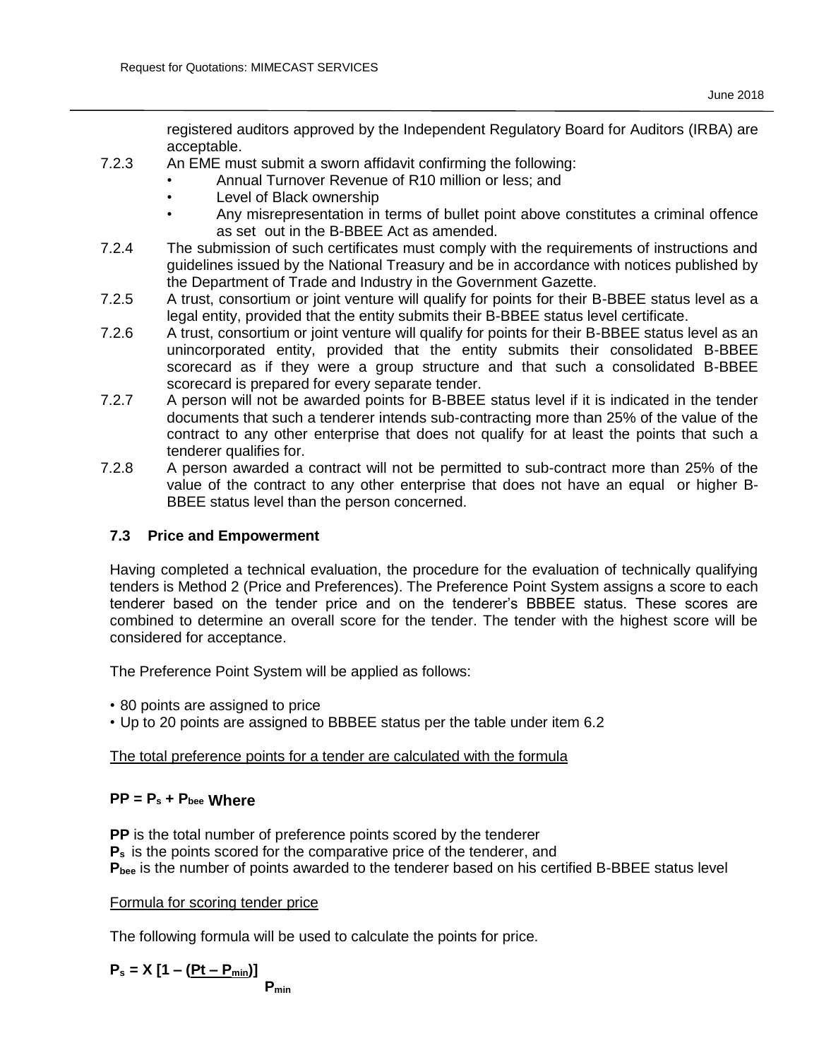registered auditors approved by the Independent Regulatory Board for Auditors (IRBA) are acceptable.

- 7.2.3 An EME must submit a sworn affidavit confirming the following:
	- Annual Turnover Revenue of R10 million or less; and
	- Level of Black ownership
		- Any misrepresentation in terms of bullet point above constitutes a criminal offence as set out in the B-BBEE Act as amended.
- 7.2.4 The submission of such certificates must comply with the requirements of instructions and guidelines issued by the National Treasury and be in accordance with notices published by the Department of Trade and Industry in the Government Gazette.
- 7.2.5 A trust, consortium or joint venture will qualify for points for their B-BBEE status level as a legal entity, provided that the entity submits their B-BBEE status level certificate.
- 7.2.6 A trust, consortium or joint venture will qualify for points for their B-BBEE status level as an unincorporated entity, provided that the entity submits their consolidated B-BBEE scorecard as if they were a group structure and that such a consolidated B-BBEE scorecard is prepared for every separate tender.
- 7.2.7 A person will not be awarded points for B-BBEE status level if it is indicated in the tender documents that such a tenderer intends sub-contracting more than 25% of the value of the contract to any other enterprise that does not qualify for at least the points that such a tenderer qualifies for.
- 7.2.8 A person awarded a contract will not be permitted to sub-contract more than 25% of the value of the contract to any other enterprise that does not have an equal or higher B-BBEE status level than the person concerned.

# **7.3 Price and Empowerment**

Having completed a technical evaluation, the procedure for the evaluation of technically qualifying tenders is Method 2 (Price and Preferences). The Preference Point System assigns a score to each tenderer based on the tender price and on the tenderer's BBBEE status. These scores are combined to determine an overall score for the tender. The tender with the highest score will be considered for acceptance.

The Preference Point System will be applied as follows:

- 80 points are assigned to price
- Up to 20 points are assigned to BBBEE status per the table under item 6.2

# The total preference points for a tender are calculated with the formula

# **PP = P<sup>s</sup> + Pbee Where**

**PP** is the total number of preference points scored by the tenderer

**P<sup>s</sup>** is the points scored for the comparative price of the tenderer, and

**Pbee** is the number of points awarded to the tenderer based on his certified B-BBEE status level

Formula for scoring tender price

The following formula will be used to calculate the points for price.

$$
P_s = X [1 - (Pt - P_{min})]
$$

**Pmin**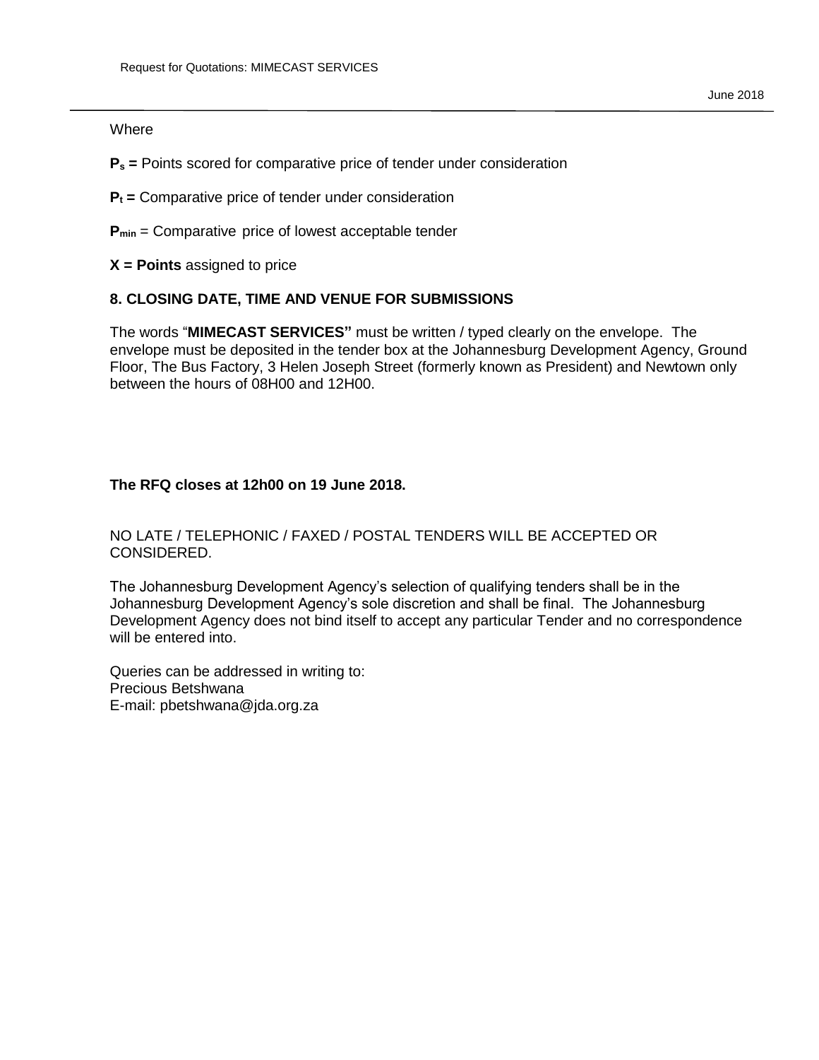#### **Where**

- **P<sup>s</sup> =** Points scored for comparative price of tender under consideration
- **P<sup>t</sup> =** Comparative price of tender under consideration
- **Pmin** = Comparative price of lowest acceptable tender
- **X = Points** assigned to price

## **8. CLOSING DATE, TIME AND VENUE FOR SUBMISSIONS**

The words "**MIMECAST SERVICES"** must be written / typed clearly on the envelope. The envelope must be deposited in the tender box at the Johannesburg Development Agency, Ground Floor, The Bus Factory, 3 Helen Joseph Street (formerly known as President) and Newtown only between the hours of 08H00 and 12H00.

## **The RFQ closes at 12h00 on 19 June 2018.**

## NO LATE / TELEPHONIC / FAXED / POSTAL TENDERS WILL BE ACCEPTED OR CONSIDERED.

The Johannesburg Development Agency's selection of qualifying tenders shall be in the Johannesburg Development Agency's sole discretion and shall be final. The Johannesburg Development Agency does not bind itself to accept any particular Tender and no correspondence will be entered into.

Queries can be addressed in writing to: Precious Betshwana E-mail: pbetshwana@jda.org.za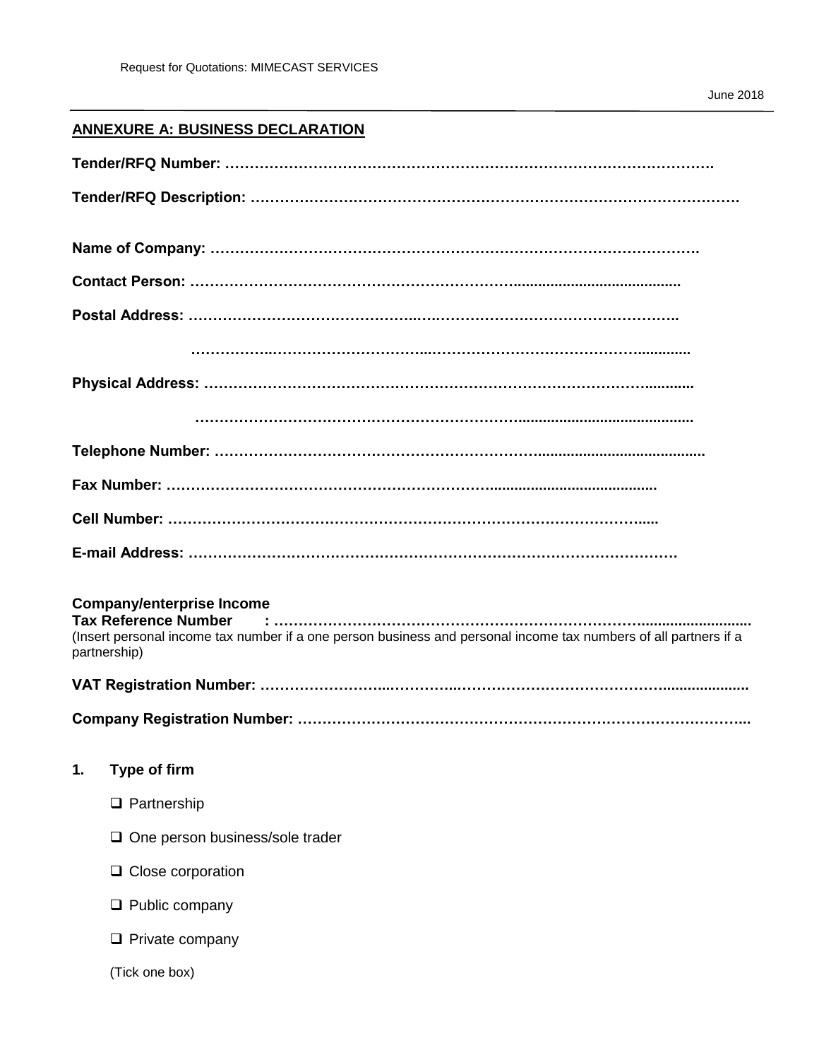# **ANNEXURE A: BUSINESS DECLARATION**

| <b>Company/enterprise Income</b><br>(Insert personal income tax number if a one person business and personal income tax numbers of all partners if a<br>partnership) |
|----------------------------------------------------------------------------------------------------------------------------------------------------------------------|
|                                                                                                                                                                      |
|                                                                                                                                                                      |
| <b>Type of firm</b><br>1.                                                                                                                                            |
| $\Box$ Partnership                                                                                                                                                   |
| One person business/sole trader                                                                                                                                      |
| Close corporation<br>u                                                                                                                                               |
| $\Box$ Public company                                                                                                                                                |
| $\Box$ Private company                                                                                                                                               |
| (Tick one box)                                                                                                                                                       |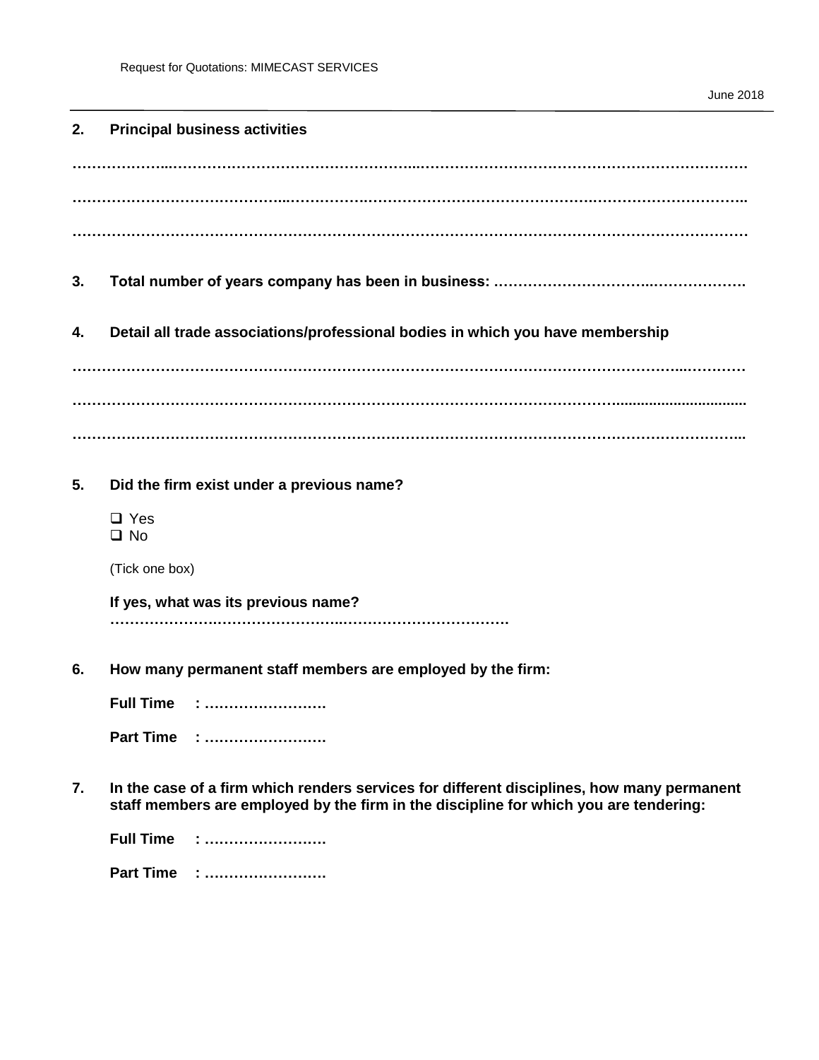#### **2. Principal business activities**

**………………...…………………………………………...…………………………………………………………. ……………………………………...…………….……………………………………….………………………….. …………………………………………………………………………………………………………………………**

- **3. Total number of years company has been in business: .…………………………..……………….**
- **4. Detail all trade associations/professional bodies in which you have membership**

**……………………………………………………………………………………………………………...………… …………………………………………………………………………………………………................................ ………………………………………………………………………………………………………………………...**

**5. Did the firm exist under a previous name?**

□ Yes  $\Box$  No

(Tick one box)

**If yes, what was its previous name? ………………….……………………..…………………………….**

**6. How many permanent staff members are employed by the firm:**

**Full Time : ……………………. Part Time : …………………….**

**7. In the case of a firm which renders services for different disciplines, how many permanent staff members are employed by the firm in the discipline for which you are tendering:**

| Full Time |   |
|-----------|---|
| Part Time | . |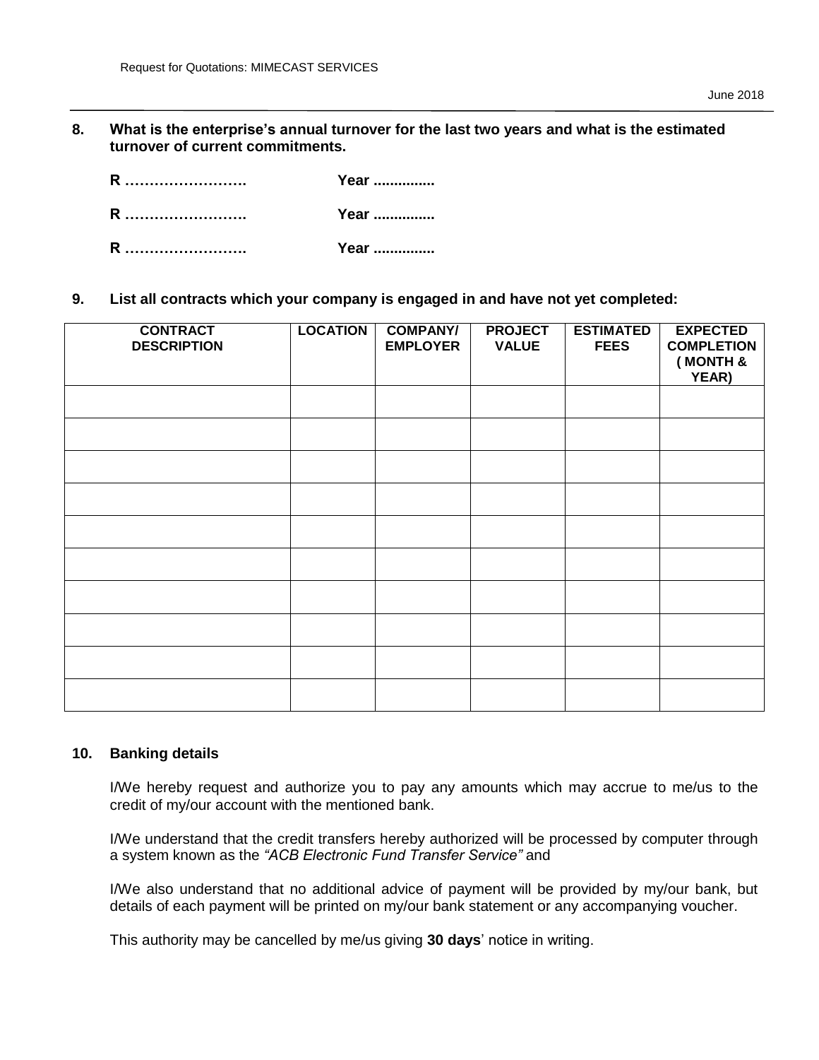**8. What is the enterprise's annual turnover for the last two years and what is the estimated turnover of current commitments.** 

| R | Year |
|---|------|
| R | Year |
| R | Year |

**9. List all contracts which your company is engaged in and have not yet completed:**

| <b>CONTRACT</b><br><b>DESCRIPTION</b> | <b>LOCATION</b> | <b>COMPANY/</b><br><b>EMPLOYER</b> | <b>PROJECT</b><br><b>VALUE</b> | <b>ESTIMATED</b><br><b>FEES</b> | <b>EXPECTED</b><br><b>COMPLETION</b><br>(MONTH &<br>YEAR) |
|---------------------------------------|-----------------|------------------------------------|--------------------------------|---------------------------------|-----------------------------------------------------------|
|                                       |                 |                                    |                                |                                 |                                                           |
|                                       |                 |                                    |                                |                                 |                                                           |
|                                       |                 |                                    |                                |                                 |                                                           |
|                                       |                 |                                    |                                |                                 |                                                           |
|                                       |                 |                                    |                                |                                 |                                                           |
|                                       |                 |                                    |                                |                                 |                                                           |
|                                       |                 |                                    |                                |                                 |                                                           |
|                                       |                 |                                    |                                |                                 |                                                           |
|                                       |                 |                                    |                                |                                 |                                                           |
|                                       |                 |                                    |                                |                                 |                                                           |

#### **10. Banking details**

I/We hereby request and authorize you to pay any amounts which may accrue to me/us to the credit of my/our account with the mentioned bank.

I/We understand that the credit transfers hereby authorized will be processed by computer through a system known as the *"ACB Electronic Fund Transfer Service"* and

I/We also understand that no additional advice of payment will be provided by my/our bank, but details of each payment will be printed on my/our bank statement or any accompanying voucher.

This authority may be cancelled by me/us giving **30 days**' notice in writing.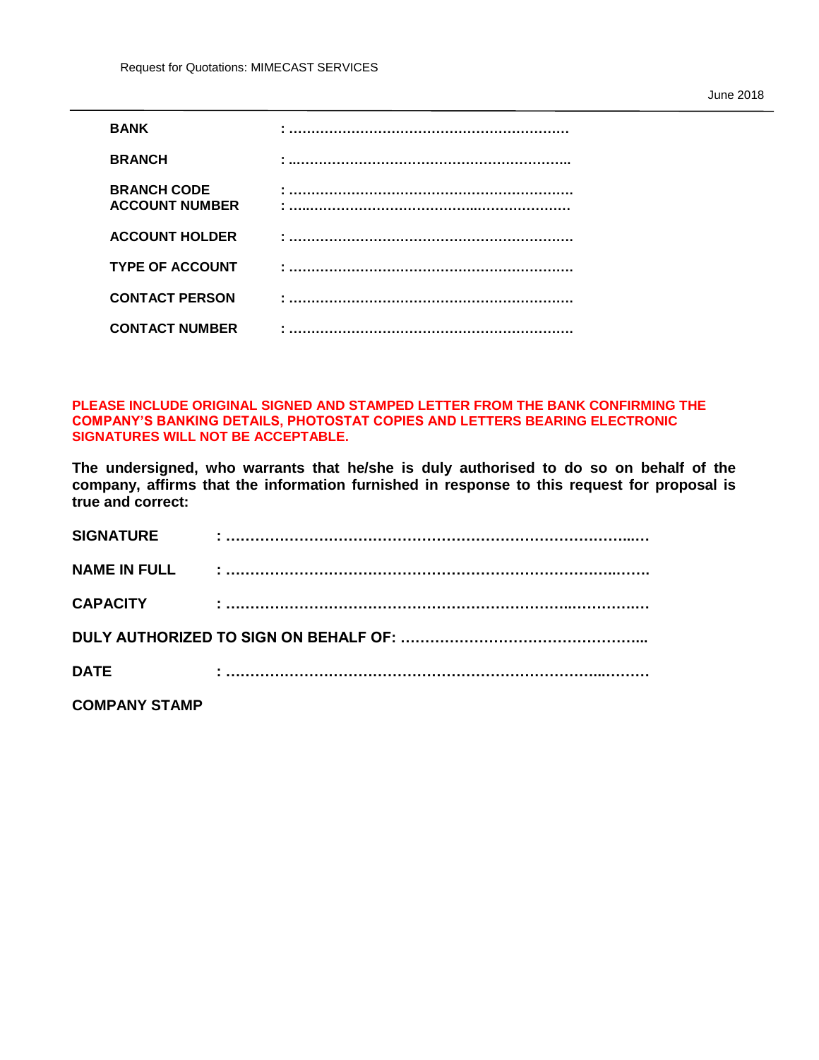| <b>BANK</b>                                 |   |
|---------------------------------------------|---|
| <b>BRANCH</b>                               |   |
| <b>BRANCH CODE</b><br><b>ACCOUNT NUMBER</b> |   |
| <b>ACCOUNT HOLDER</b>                       |   |
| <b>TYPE OF ACCOUNT</b>                      |   |
| <b>CONTACT PERSON</b>                       |   |
| <b>CONTACT NUMBER</b>                       | ٠ |

#### **PLEASE INCLUDE ORIGINAL SIGNED AND STAMPED LETTER FROM THE BANK CONFIRMING THE COMPANY'S BANKING DETAILS, PHOTOSTAT COPIES AND LETTERS BEARING ELECTRONIC SIGNATURES WILL NOT BE ACCEPTABLE.**

**The undersigned, who warrants that he/she is duly authorised to do so on behalf of the company, affirms that the information furnished in response to this request for proposal is true and correct:**

| <b>SIGNATURE</b>     |  |
|----------------------|--|
| <b>NAME IN FULL</b>  |  |
| <b>CAPACITY</b>      |  |
|                      |  |
| <b>DATE</b>          |  |
| <b>COMPANY STAMP</b> |  |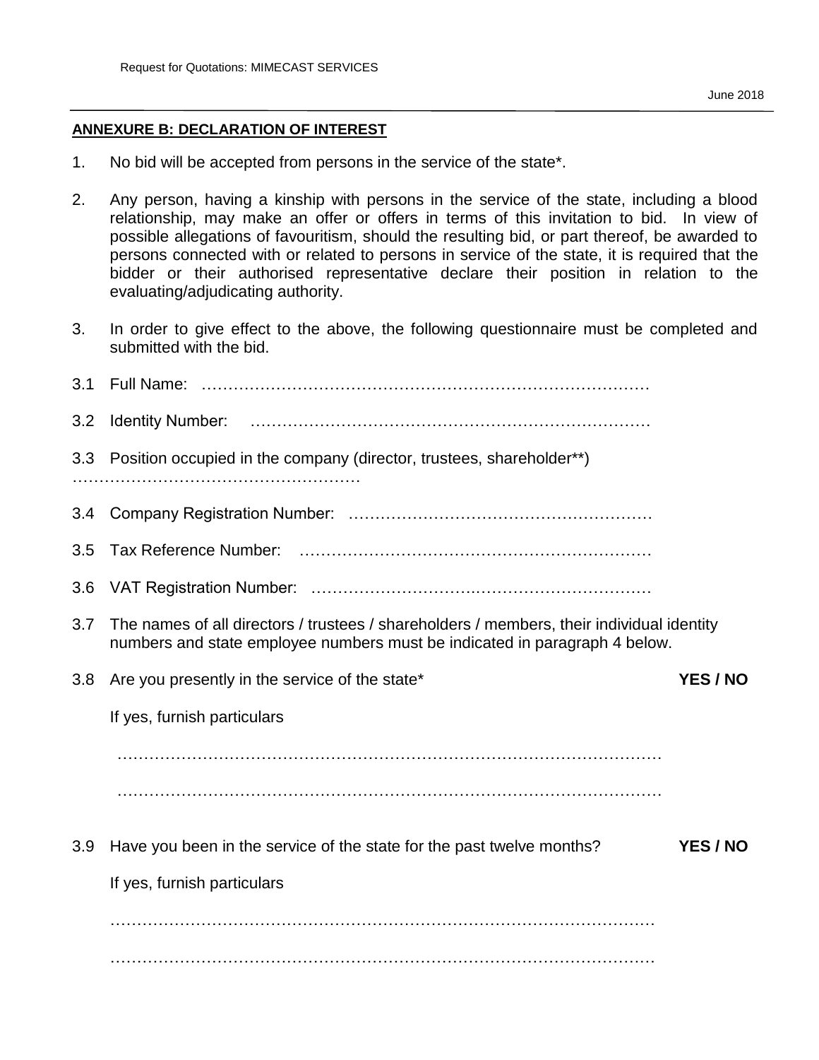#### **ANNEXURE B: DECLARATION OF INTEREST**

- 1. No bid will be accepted from persons in the service of the state\*.
- 2. Any person, having a kinship with persons in the service of the state, including a blood relationship, may make an offer or offers in terms of this invitation to bid. In view of possible allegations of favouritism, should the resulting bid, or part thereof, be awarded to persons connected with or related to persons in service of the state, it is required that the bidder or their authorised representative declare their position in relation to the evaluating/adjudicating authority.
- 3. In order to give effect to the above, the following questionnaire must be completed and submitted with the bid.

| 3.1 |                                                                                                                                                                         |
|-----|-------------------------------------------------------------------------------------------------------------------------------------------------------------------------|
| 3.2 |                                                                                                                                                                         |
| 3.3 | Position occupied in the company (director, trustees, shareholder**)                                                                                                    |
| 3.4 |                                                                                                                                                                         |
| 3.5 |                                                                                                                                                                         |
| 3.6 |                                                                                                                                                                         |
| 3.7 | The names of all directors / trustees / shareholders / members, their individual identity<br>numbers and state employee numbers must be indicated in paragraph 4 below. |
| 3.8 | Are you presently in the service of the state*<br>YES / NO                                                                                                              |
|     | If yes, furnish particulars                                                                                                                                             |
|     |                                                                                                                                                                         |
|     |                                                                                                                                                                         |
| 3.9 | YES / NO<br>Have you been in the service of the state for the past twelve months?                                                                                       |
|     | If yes, furnish particulars                                                                                                                                             |
|     |                                                                                                                                                                         |
|     |                                                                                                                                                                         |
|     |                                                                                                                                                                         |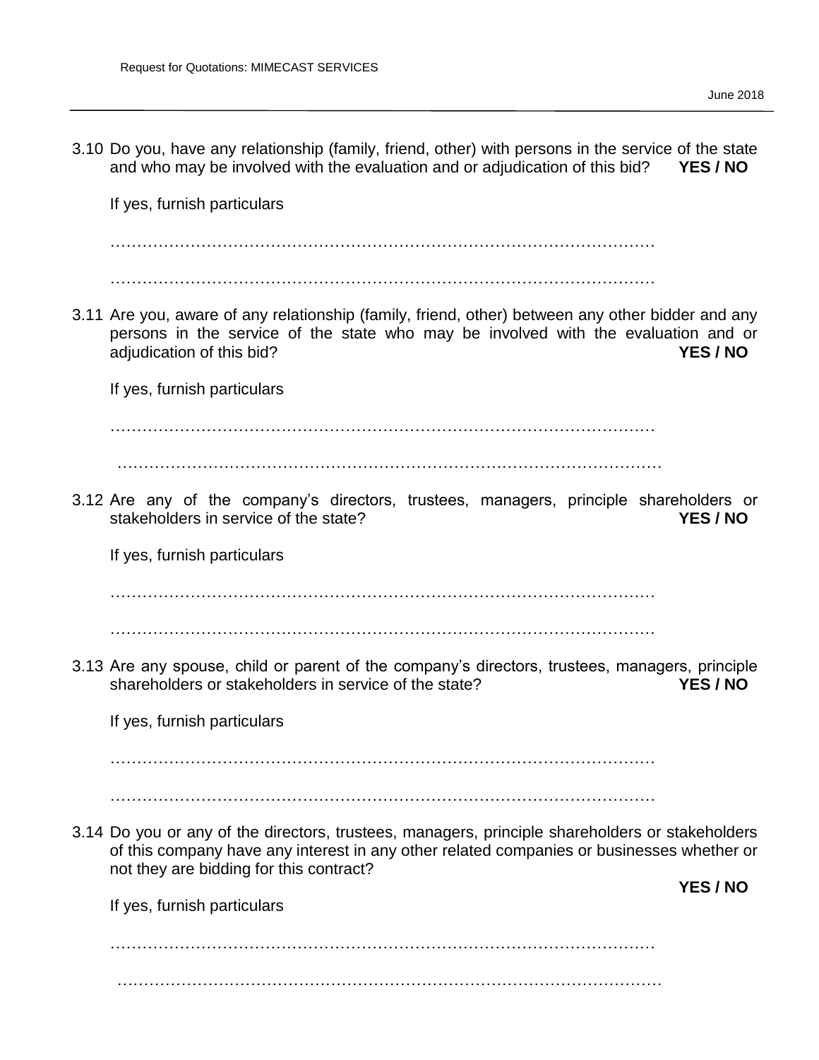3.10 Do you, have any relationship (family, friend, other) with persons in the service of the state and who may be involved with the evaluation and or adjudication of this bid? **YES / NO**

If yes, furnish particulars

…………………………………………………………………………………………

…………………………………………………………………………………………

3.11 Are you, aware of any relationship (family, friend, other) between any other bidder and any persons in the service of the state who may be involved with the evaluation and or adjudication of this bid? **YES / NO**

If yes, furnish particulars

…………………………………………………………………………………………

…………………………………………………………………………………………

3.12 Are any of the company's directors, trustees, managers, principle shareholders or stakeholders in service of the state? **YES / NO**

If yes, furnish particulars

…………………………………………………………………………………………

…………………………………………………………………………………………

3.13 Are any spouse, child or parent of the company's directors, trustees, managers, principle shareholders or stakeholders in service of the state? **YES / NO**

If yes, furnish particulars

…………………………………………………………………………………………

…………………………………………………………………………………………

3.14 Do you or any of the directors, trustees, managers, principle shareholders or stakeholders of this company have any interest in any other related companies or businesses whether or not they are bidding for this contract?

If yes, furnish particulars

**YES / NO**

………………………………………………………………………………………… …………………………………………………………………………………………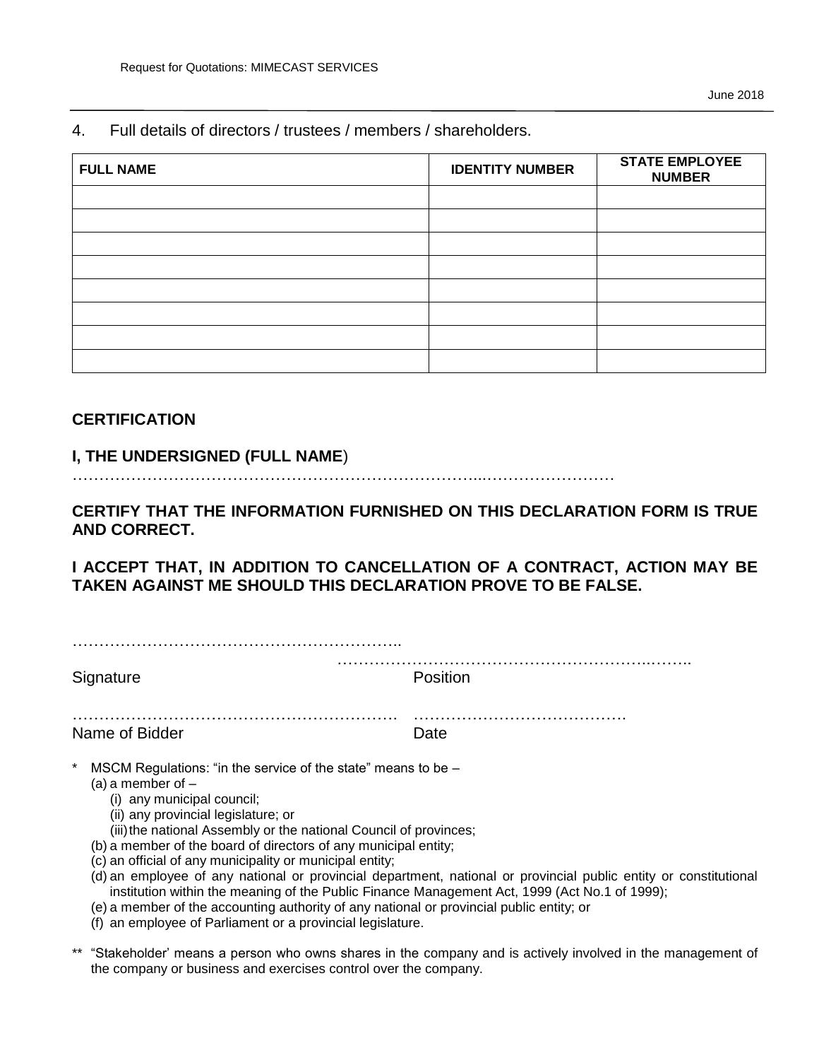4. Full details of directors / trustees / members / shareholders.

| <b>FULL NAME</b> | <b>IDENTITY NUMBER</b> | <b>STATE EMPLOYEE</b><br><b>NUMBER</b> |
|------------------|------------------------|----------------------------------------|
|                  |                        |                                        |
|                  |                        |                                        |
|                  |                        |                                        |
|                  |                        |                                        |
|                  |                        |                                        |
|                  |                        |                                        |
|                  |                        |                                        |
|                  |                        |                                        |

## **CERTIFICATION**

#### **I, THE UNDERSIGNED (FULL NAME**)

…………………………………………………………………...……………………

**CERTIFY THAT THE INFORMATION FURNISHED ON THIS DECLARATION FORM IS TRUE AND CORRECT.** 

**I ACCEPT THAT, IN ADDITION TO CANCELLATION OF A CONTRACT, ACTION MAY BE TAKEN AGAINST ME SHOULD THIS DECLARATION PROVE TO BE FALSE.** 

| Signature                                                                                                                                                                                                                                                                                                                                                                                                                                                                                                                                                                                                                | <b>Position</b>                                                                                                  |
|--------------------------------------------------------------------------------------------------------------------------------------------------------------------------------------------------------------------------------------------------------------------------------------------------------------------------------------------------------------------------------------------------------------------------------------------------------------------------------------------------------------------------------------------------------------------------------------------------------------------------|------------------------------------------------------------------------------------------------------------------|
| Name of Bidder                                                                                                                                                                                                                                                                                                                                                                                                                                                                                                                                                                                                           | Date                                                                                                             |
| MSCM Regulations: "in the service of the state" means to be –<br>(a) a member of $-$<br>(i) any municipal council;<br>(ii) any provincial legislature; or<br>(iii) the national Assembly or the national Council of provinces;<br>(b) a member of the board of directors of any municipal entity;<br>(c) an official of any municipality or municipal entity;<br>institution within the meaning of the Public Finance Management Act, 1999 (Act No.1 of 1999);<br>(e) a member of the accounting authority of any national or provincial public entity; or<br>(f) an employee of Parliament or a provincial legislature. | (d) an employee of any national or provincial department, national or provincial public entity or constitutional |
|                                                                                                                                                                                                                                                                                                                                                                                                                                                                                                                                                                                                                          | ** "Stakeholder' means a nerson who quins shares in the company and is actively involved in the management of    |

'Stakeholder' means a person who owns shares in the company and is actively involved in the management of the company or business and exercises control over the company.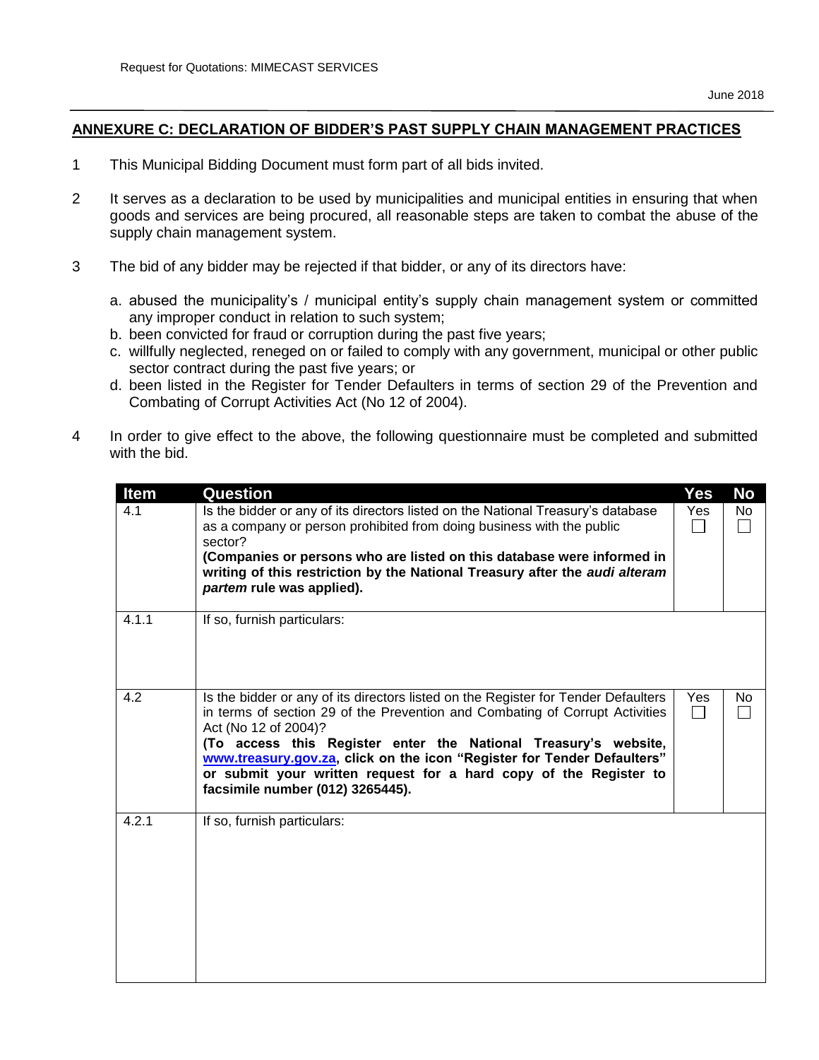#### **ANNEXURE C: DECLARATION OF BIDDER'S PAST SUPPLY CHAIN MANAGEMENT PRACTICES**

- 1 This Municipal Bidding Document must form part of all bids invited.
- 2 It serves as a declaration to be used by municipalities and municipal entities in ensuring that when goods and services are being procured, all reasonable steps are taken to combat the abuse of the supply chain management system.
- 3 The bid of any bidder may be rejected if that bidder, or any of its directors have:
	- a. abused the municipality's / municipal entity's supply chain management system or committed any improper conduct in relation to such system;
	- b. been convicted for fraud or corruption during the past five years;
	- c. willfully neglected, reneged on or failed to comply with any government, municipal or other public sector contract during the past five years; or
	- d. been listed in the Register for Tender Defaulters in terms of section 29 of the Prevention and Combating of Corrupt Activities Act (No 12 of 2004).
- 4 In order to give effect to the above, the following questionnaire must be completed and submitted with the bid.

| <b>Item</b> | <b>Question</b>                                                                                                                                                                                                                                                                                                                                                                                                                                   | <b>Yes</b>          | <b>No</b> |
|-------------|---------------------------------------------------------------------------------------------------------------------------------------------------------------------------------------------------------------------------------------------------------------------------------------------------------------------------------------------------------------------------------------------------------------------------------------------------|---------------------|-----------|
| 4.1         | Is the bidder or any of its directors listed on the National Treasury's database<br>as a company or person prohibited from doing business with the public<br>sector?<br>(Companies or persons who are listed on this database were informed in<br>writing of this restriction by the National Treasury after the audi alteram<br>partem rule was applied).                                                                                        | Yes                 | No        |
| 4.1.1       | If so, furnish particulars:                                                                                                                                                                                                                                                                                                                                                                                                                       |                     |           |
| 4.2         | Is the bidder or any of its directors listed on the Register for Tender Defaulters<br>in terms of section 29 of the Prevention and Combating of Corrupt Activities<br>Act (No 12 of 2004)?<br>(To access this Register enter the National Treasury's website,<br>www.treasury.gov.za, click on the icon "Register for Tender Defaulters"<br>or submit your written request for a hard copy of the Register to<br>facsimile number (012) 3265445). | Yes<br>$\mathsf{L}$ | No.       |
| 4.2.1       | If so, furnish particulars:                                                                                                                                                                                                                                                                                                                                                                                                                       |                     |           |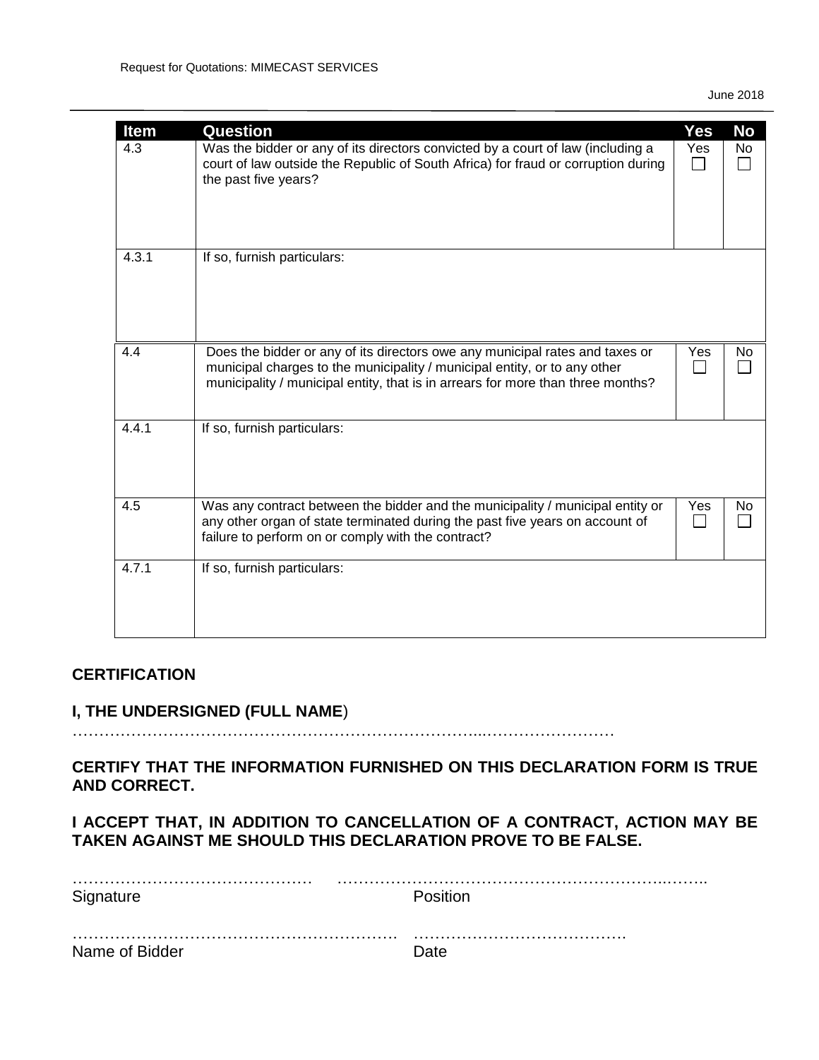| <b>Item</b><br>4.3 | <b>Question</b><br>Was the bidder or any of its directors convicted by a court of law (including a<br>court of law outside the Republic of South Africa) for fraud or corruption during<br>the past five years?                              | <b>Yes</b><br>Yes | No<br>No |
|--------------------|----------------------------------------------------------------------------------------------------------------------------------------------------------------------------------------------------------------------------------------------|-------------------|----------|
| 4.3.1              | If so, furnish particulars:                                                                                                                                                                                                                  |                   |          |
| 4.4                | Does the bidder or any of its directors owe any municipal rates and taxes or<br>municipal charges to the municipality / municipal entity, or to any other<br>municipality / municipal entity, that is in arrears for more than three months? | Yes               | No.      |
| 4.4.1              | If so, furnish particulars:                                                                                                                                                                                                                  |                   |          |
| 4.5                | Was any contract between the bidder and the municipality / municipal entity or<br>any other organ of state terminated during the past five years on account of<br>failure to perform on or comply with the contract?                         | Yes               | No.      |
| 4.7.1              | If so, furnish particulars:                                                                                                                                                                                                                  |                   |          |

## **CERTIFICATION**

## **I, THE UNDERSIGNED (FULL NAME**)

…………………………………………………………………...……………………

**CERTIFY THAT THE INFORMATION FURNISHED ON THIS DECLARATION FORM IS TRUE AND CORRECT.** 

**I ACCEPT THAT, IN ADDITION TO CANCELLATION OF A CONTRACT, ACTION MAY BE TAKEN AGAINST ME SHOULD THIS DECLARATION PROVE TO BE FALSE.** 

| Signature      | Position |
|----------------|----------|
|                |          |
| Name of Bidder | Date     |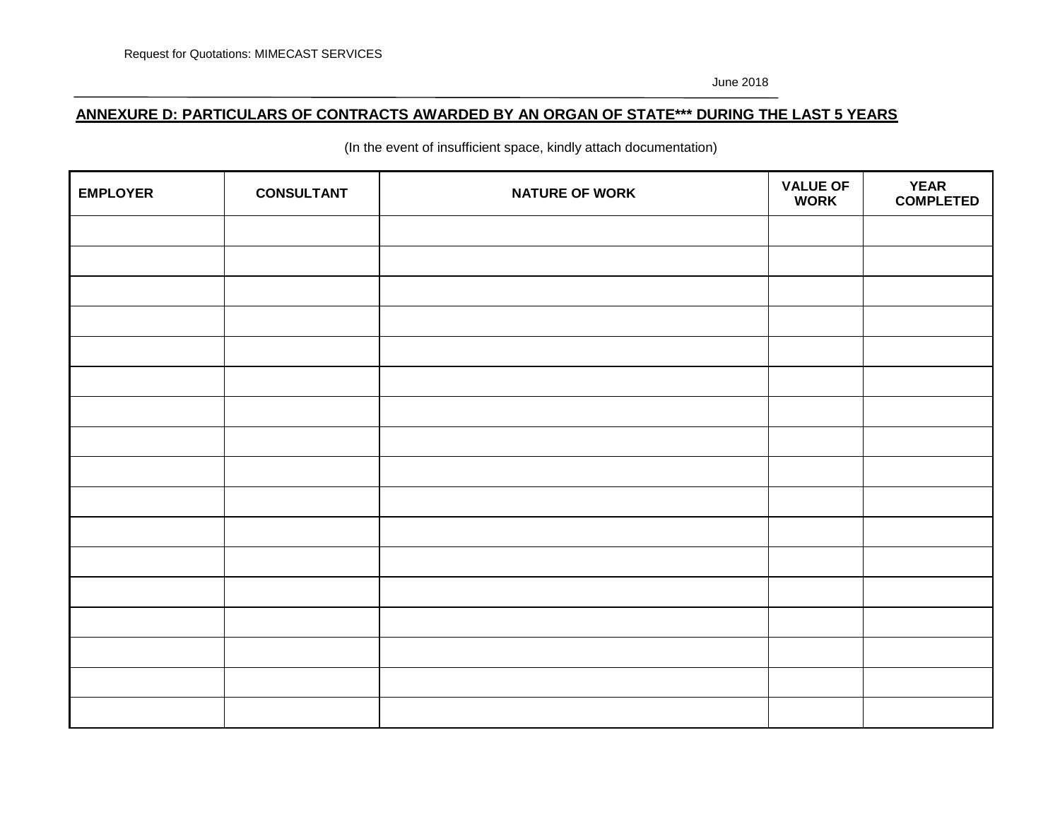## **ANNEXURE D: PARTICULARS OF CONTRACTS AWARDED BY AN ORGAN OF STATE\*\*\* DURING THE LAST 5 YEARS**

(In the event of insufficient space, kindly attach documentation)

| <b>EMPLOYER</b> | <b>CONSULTANT</b> | <b>NATURE OF WORK</b> | <b>VALUE OF</b><br><b>WORK</b> | <b>YEAR</b><br><b>COMPLETED</b> |
|-----------------|-------------------|-----------------------|--------------------------------|---------------------------------|
|                 |                   |                       |                                |                                 |
|                 |                   |                       |                                |                                 |
|                 |                   |                       |                                |                                 |
|                 |                   |                       |                                |                                 |
|                 |                   |                       |                                |                                 |
|                 |                   |                       |                                |                                 |
|                 |                   |                       |                                |                                 |
|                 |                   |                       |                                |                                 |
|                 |                   |                       |                                |                                 |
|                 |                   |                       |                                |                                 |
|                 |                   |                       |                                |                                 |
|                 |                   |                       |                                |                                 |
|                 |                   |                       |                                |                                 |
|                 |                   |                       |                                |                                 |
|                 |                   |                       |                                |                                 |
|                 |                   |                       |                                |                                 |
|                 |                   |                       |                                |                                 |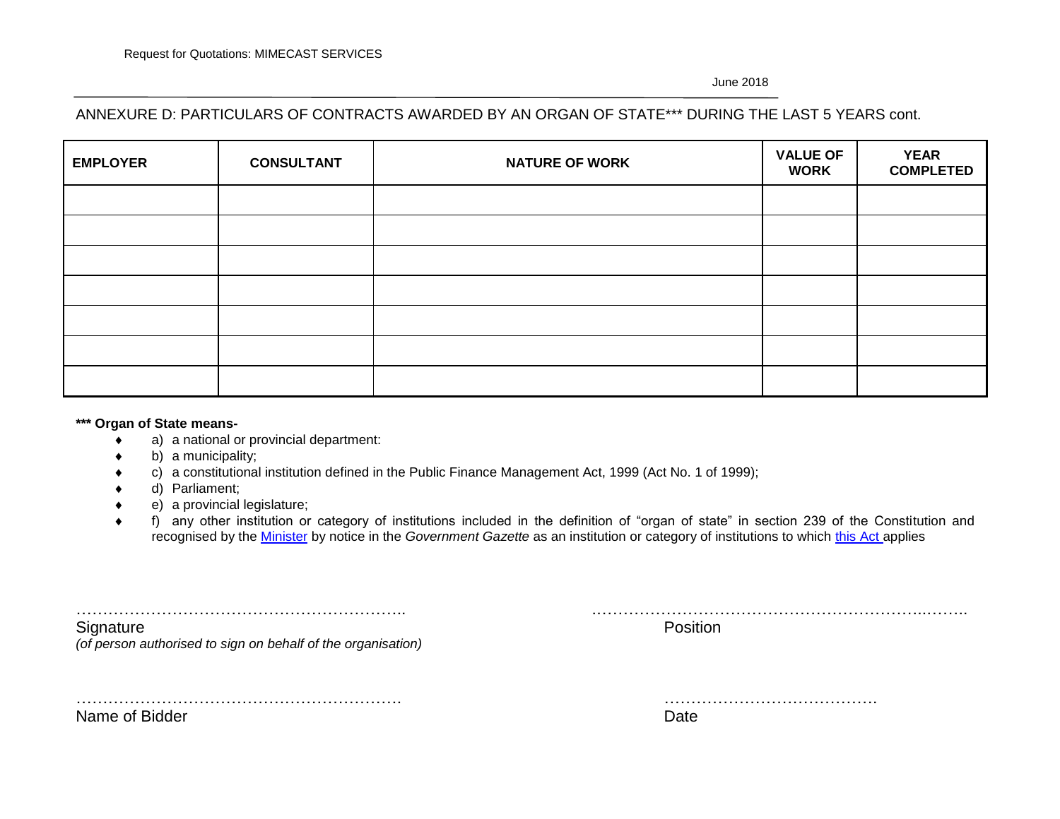# ANNEXURE D: PARTICULARS OF CONTRACTS AWARDED BY AN ORGAN OF STATE\*\*\* DURING THE LAST 5 YEARS cont.

| <b>EMPLOYER</b> | <b>CONSULTANT</b> | <b>NATURE OF WORK</b> | <b>VALUE OF</b><br><b>WORK</b> | <b>YEAR</b><br><b>COMPLETED</b> |
|-----------------|-------------------|-----------------------|--------------------------------|---------------------------------|
|                 |                   |                       |                                |                                 |
|                 |                   |                       |                                |                                 |
|                 |                   |                       |                                |                                 |
|                 |                   |                       |                                |                                 |
|                 |                   |                       |                                |                                 |
|                 |                   |                       |                                |                                 |
|                 |                   |                       |                                |                                 |

#### **\*\*\* Organ of State means-**

- a) a national or provincial department:
- b) a municipality;
- c) a constitutional institution defined in the Public Finance Management Act, 1999 (Act No. 1 of 1999);
- d) Parliament;
- e) a provincial legislature;
- f) any other institution or category of institutions included in the definition of "organ of state" in section 239 of the Constitution and recognised by the [Minister](javascript:void(0);) by notice in the *Government Gazette* as an institution or category of institutions to which [this Act](javascript:void(0);) applies

| Signature<br>(of person authorised to sign on behalf of the organisation) | Position |
|---------------------------------------------------------------------------|----------|
|                                                                           |          |

Name of Bidder Date Date Name of Bidder

| $N_{max}$<br>------- | . |
|----------------------|---|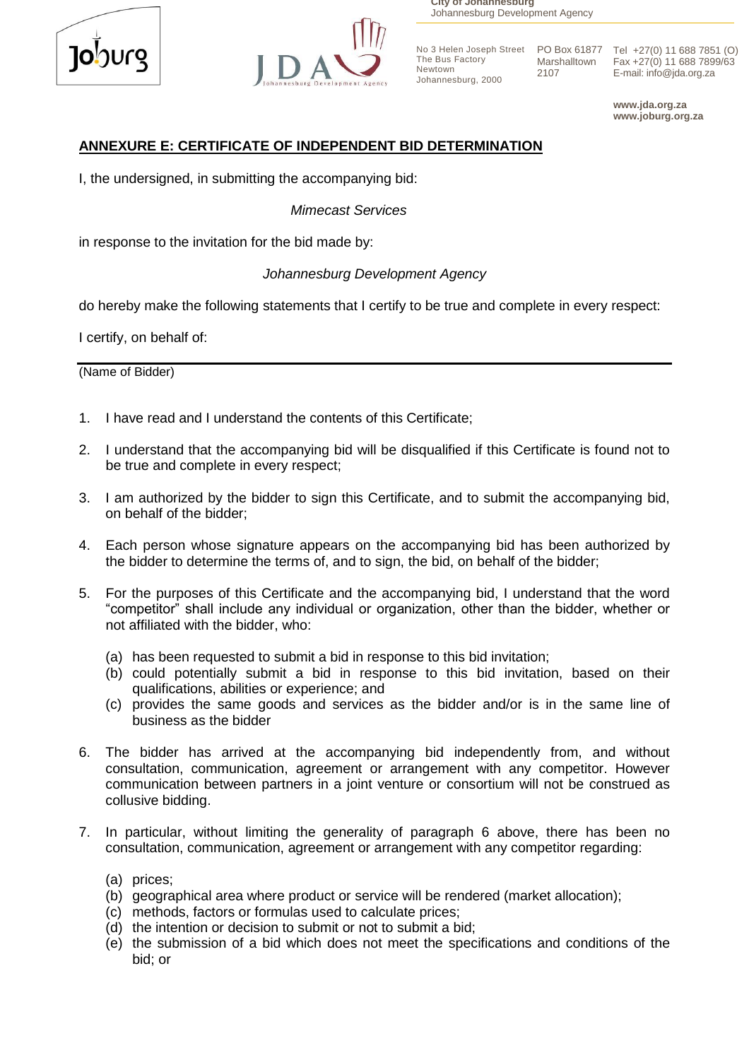



**City of Johannesburg** Johannesburg Development Agency

The Bus Factory Newtown Johannesburg, 2000 Marshalltown 2107

No 3 Helen Joseph Street PO Box 61877 Tel +27(0) 11 688 7851 (O) Fax +27(0) 11 688 7899/63 E-mail: info@jda.org.za

> **www.jda.org.za www.joburg.org.za**

# **ANNEXURE E: CERTIFICATE OF INDEPENDENT BID DETERMINATION**

I, the undersigned, in submitting the accompanying bid:

 *Mimecast Services*

in response to the invitation for the bid made by:

# *Johannesburg Development Agency*

do hereby make the following statements that I certify to be true and complete in every respect:

I certify, on behalf of:

(Name of Bidder)

- 1. I have read and I understand the contents of this Certificate;
- 2. I understand that the accompanying bid will be disqualified if this Certificate is found not to be true and complete in every respect;
- 3. I am authorized by the bidder to sign this Certificate, and to submit the accompanying bid, on behalf of the bidder;
- 4. Each person whose signature appears on the accompanying bid has been authorized by the bidder to determine the terms of, and to sign, the bid, on behalf of the bidder;
- 5. For the purposes of this Certificate and the accompanying bid, I understand that the word "competitor" shall include any individual or organization, other than the bidder, whether or not affiliated with the bidder, who:
	- (a) has been requested to submit a bid in response to this bid invitation;
	- (b) could potentially submit a bid in response to this bid invitation, based on their qualifications, abilities or experience; and
	- (c) provides the same goods and services as the bidder and/or is in the same line of business as the bidder
- 6. The bidder has arrived at the accompanying bid independently from, and without consultation, communication, agreement or arrangement with any competitor. However communication between partners in a joint venture or consortium will not be construed as collusive bidding.
- 7. In particular, without limiting the generality of paragraph 6 above, there has been no consultation, communication, agreement or arrangement with any competitor regarding:
	- (a) prices;
	- (b) geographical area where product or service will be rendered (market allocation);
	- (c) methods, factors or formulas used to calculate prices;
	- (d) the intention or decision to submit or not to submit a bid;
	- (e) the submission of a bid which does not meet the specifications and conditions of the bid; or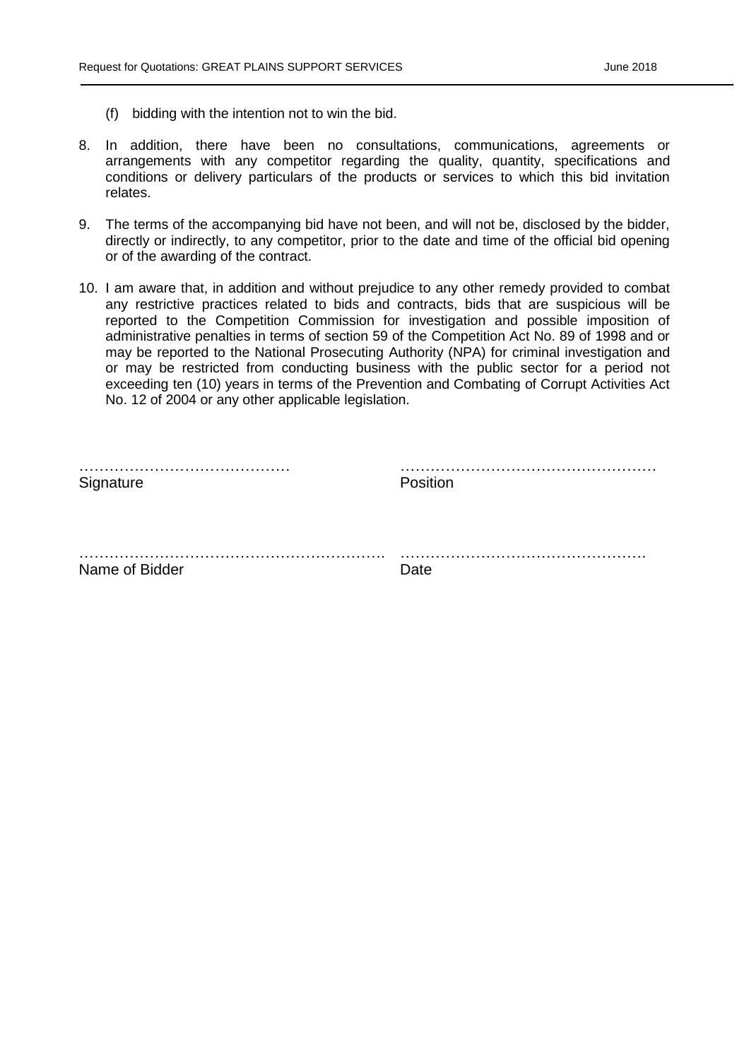- (f) bidding with the intention not to win the bid.
- 8. In addition, there have been no consultations, communications, agreements or arrangements with any competitor regarding the quality, quantity, specifications and conditions or delivery particulars of the products or services to which this bid invitation relates.
- 9. The terms of the accompanying bid have not been, and will not be, disclosed by the bidder, directly or indirectly, to any competitor, prior to the date and time of the official bid opening or of the awarding of the contract.
- 10. I am aware that, in addition and without prejudice to any other remedy provided to combat any restrictive practices related to bids and contracts, bids that are suspicious will be reported to the Competition Commission for investigation and possible imposition of administrative penalties in terms of section 59 of the Competition Act No. 89 of 1998 and or may be reported to the National Prosecuting Authority (NPA) for criminal investigation and or may be restricted from conducting business with the public sector for a period not exceeding ten (10) years in terms of the Prevention and Combating of Corrupt Activities Act No. 12 of 2004 or any other applicable legislation.

| Signature      | Position |
|----------------|----------|
| .              |          |
| Name of Bidder | Date     |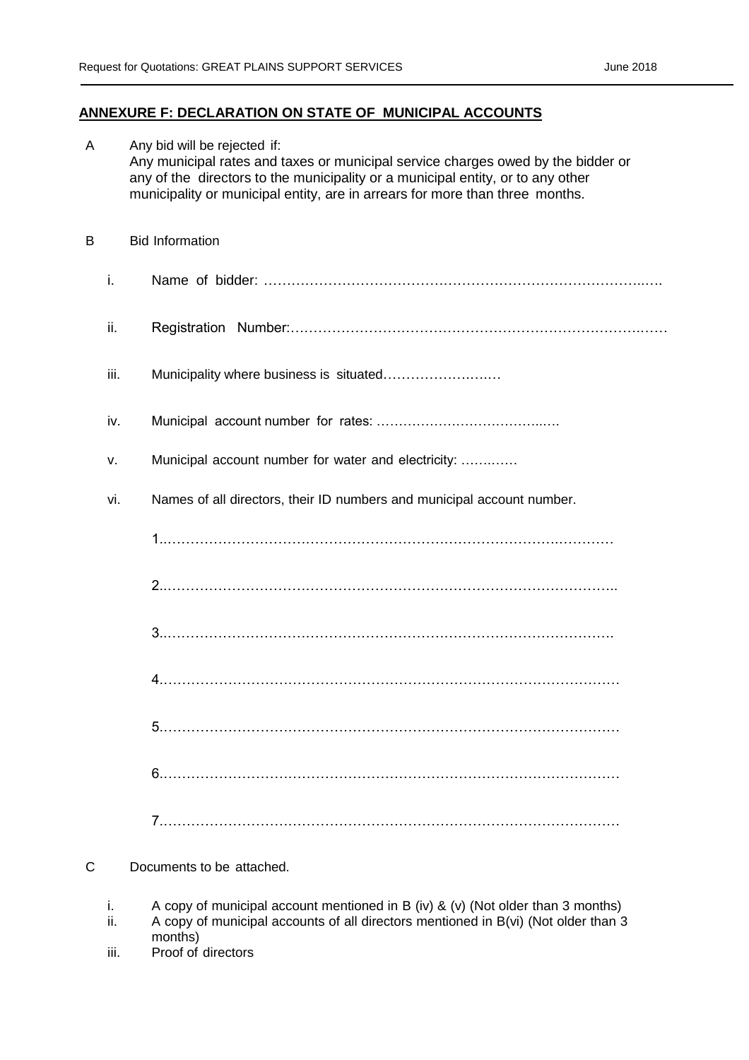#### **ANNEXURE F: DECLARATION ON STATE OF MUNICIPAL ACCOUNTS**

| A |      | Any bid will be rejected if:<br>Any municipal rates and taxes or municipal service charges owed by the bidder or<br>any of the directors to the municipality or a municipal entity, or to any other<br>municipality or municipal entity, are in arrears for more than three months. |
|---|------|-------------------------------------------------------------------------------------------------------------------------------------------------------------------------------------------------------------------------------------------------------------------------------------|
| B |      | <b>Bid Information</b>                                                                                                                                                                                                                                                              |
|   | i.   |                                                                                                                                                                                                                                                                                     |
|   | ii.  |                                                                                                                                                                                                                                                                                     |
|   | iii. | Municipality where business is situated                                                                                                                                                                                                                                             |
|   | iv.  |                                                                                                                                                                                                                                                                                     |
|   | ν.   | Municipal account number for water and electricity:                                                                                                                                                                                                                                 |
|   | vi.  | Names of all directors, their ID numbers and municipal account number.                                                                                                                                                                                                              |
|   |      |                                                                                                                                                                                                                                                                                     |
|   |      |                                                                                                                                                                                                                                                                                     |
|   |      |                                                                                                                                                                                                                                                                                     |
|   |      |                                                                                                                                                                                                                                                                                     |
|   |      |                                                                                                                                                                                                                                                                                     |
|   |      |                                                                                                                                                                                                                                                                                     |
|   |      |                                                                                                                                                                                                                                                                                     |

#### C Documents to be attached.

- i. A copy of municipal account mentioned in B (iv) & (v) (Not older than 3 months)
- ii. A copy of municipal accounts of all directors mentioned in B(vi) (Not older than 3 months)
- iii. Proof of directors